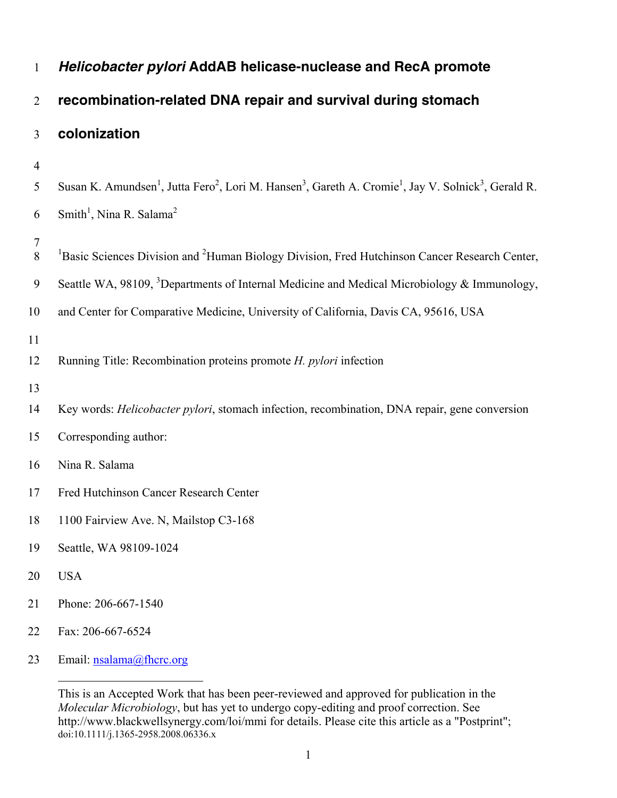| $\mathbf{1}$            | Helicobacter pylori AddAB helicase-nuclease and RecA promote                                                                                                     |
|-------------------------|------------------------------------------------------------------------------------------------------------------------------------------------------------------|
| $\overline{2}$          | recombination-related DNA repair and survival during stomach                                                                                                     |
| 3                       | colonization                                                                                                                                                     |
| 4<br>5                  | Susan K. Amundsen <sup>1</sup> , Jutta Fero <sup>2</sup> , Lori M. Hansen <sup>3</sup> , Gareth A. Cromie <sup>1</sup> , Jay V. Solnick <sup>3</sup> , Gerald R. |
| 6                       | Smith <sup>1</sup> , Nina R. Salama <sup>2</sup>                                                                                                                 |
| $\overline{7}$<br>$8\,$ | <sup>1</sup> Basic Sciences Division and <sup>2</sup> Human Biology Division, Fred Hutchinson Cancer Research Center,                                            |
| $\boldsymbol{9}$        | Seattle WA, 98109, <sup>3</sup> Departments of Internal Medicine and Medical Microbiology & Immunology,                                                          |
| 10                      | and Center for Comparative Medicine, University of California, Davis CA, 95616, USA                                                                              |
| 11<br>12                | Running Title: Recombination proteins promote H. pylori infection                                                                                                |
| 13<br>14                | Key words: Helicobacter pylori, stomach infection, recombination, DNA repair, gene conversion                                                                    |
| 15                      | Corresponding author:                                                                                                                                            |
| 16                      | Nina R. Salama                                                                                                                                                   |
| 17                      | Fred Hutchinson Cancer Research Center                                                                                                                           |
| 18                      | 1100 Fairview Ave. N, Mailstop C3-168                                                                                                                            |
| 19                      | Seattle, WA 98109-1024                                                                                                                                           |
| 20                      | <b>USA</b>                                                                                                                                                       |
| 21                      | Phone: 206-667-1540                                                                                                                                              |
| 22                      | Fax: 206-667-6524                                                                                                                                                |
| 23                      | Email: nsalama@fhcrc.org                                                                                                                                         |

This is an Accepted Work that has been peer-reviewed and approved for publication in the *Molecular Microbiology*, but has yet to undergo copy-editing and proof correction. See http://www.blackwellsynergy.com/loi/mmi for details. Please cite this article as a "Postprint"; doi:10.1111/j.1365-2958.2008.06336.x

 $\overline{a}$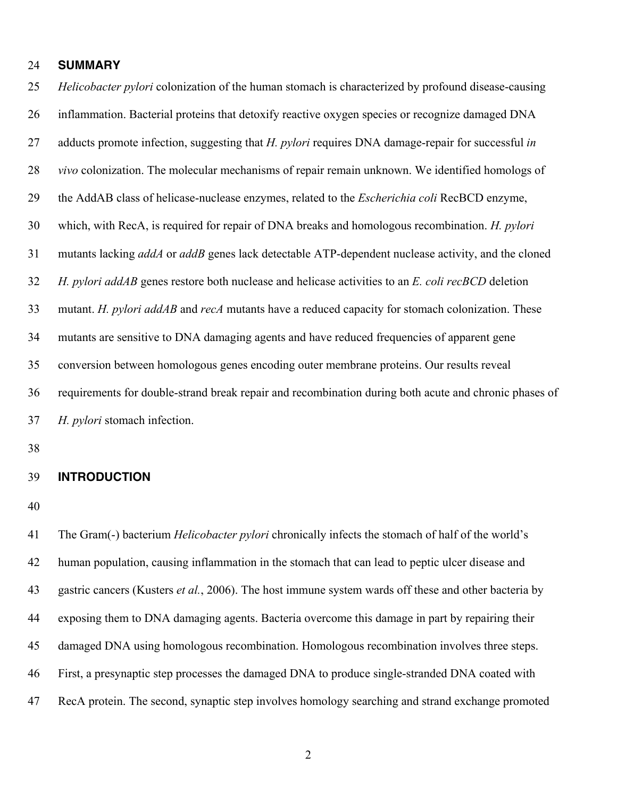# 24 **SUMMARY**

25 *Helicobacter pylori* colonization of the human stomach is characterized by profound disease-causing 26 inflammation. Bacterial proteins that detoxify reactive oxygen species or recognize damaged DNA 27 adducts promote infection, suggesting that *H. pylori* requires DNA damage-repair for successful *in*  28 *vivo* colonization. The molecular mechanisms of repair remain unknown. We identified homologs of 29 the AddAB class of helicase-nuclease enzymes, related to the *Escherichia coli* RecBCD enzyme, 30 which, with RecA, is required for repair of DNA breaks and homologous recombination. *H. pylori*  31 mutants lacking *addA* or *addB* genes lack detectable ATP-dependent nuclease activity, and the cloned 32 *H. pylori addAB* genes restore both nuclease and helicase activities to an *E. coli recBCD* deletion 33 mutant. *H. pylori addAB* and *recA* mutants have a reduced capacity for stomach colonization. These 34 mutants are sensitive to DNA damaging agents and have reduced frequencies of apparent gene 35 conversion between homologous genes encoding outer membrane proteins. Our results reveal 36 requirements for double-strand break repair and recombination during both acute and chronic phases of 37 *H. pylori* stomach infection.

38

#### 39 **INTRODUCTION**

40

41 The Gram(-) bacterium *Helicobacter pylori* chronically infects the stomach of half of the world's 42 human population, causing inflammation in the stomach that can lead to peptic ulcer disease and 43 gastric cancers (Kusters *et al.*, 2006). The host immune system wards off these and other bacteria by 44 exposing them to DNA damaging agents. Bacteria overcome this damage in part by repairing their 45 damaged DNA using homologous recombination. Homologous recombination involves three steps. 46 First, a presynaptic step processes the damaged DNA to produce single-stranded DNA coated with 47 RecA protein. The second, synaptic step involves homology searching and strand exchange promoted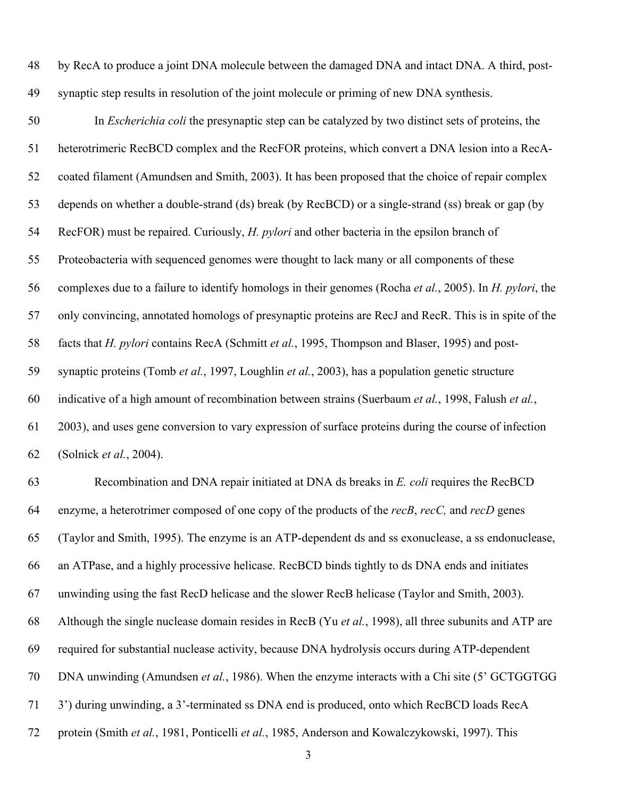48 by RecA to produce a joint DNA molecule between the damaged DNA and intact DNA. A third, post-49 synaptic step results in resolution of the joint molecule or priming of new DNA synthesis.

50 In *Escherichia coli* the presynaptic step can be catalyzed by two distinct sets of proteins, the 51 heterotrimeric RecBCD complex and the RecFOR proteins, which convert a DNA lesion into a RecA-52 coated filament (Amundsen and Smith, 2003). It has been proposed that the choice of repair complex 53 depends on whether a double-strand (ds) break (by RecBCD) or a single-strand (ss) break or gap (by 54 RecFOR) must be repaired. Curiously, *H. pylori* and other bacteria in the epsilon branch of 55 Proteobacteria with sequenced genomes were thought to lack many or all components of these 56 complexes due to a failure to identify homologs in their genomes (Rocha *et al.*, 2005). In *H. pylori*, the 57 only convincing, annotated homologs of presynaptic proteins are RecJ and RecR. This is in spite of the 58 facts that *H. pylori* contains RecA (Schmitt *et al.*, 1995, Thompson and Blaser, 1995) and post-59 synaptic proteins (Tomb *et al.*, 1997, Loughlin *et al.*, 2003), has a population genetic structure 60 indicative of a high amount of recombination between strains (Suerbaum *et al.*, 1998, Falush *et al.*, 61 2003), and uses gene conversion to vary expression of surface proteins during the course of infection 62 (Solnick *et al.*, 2004).

63 Recombination and DNA repair initiated at DNA ds breaks in *E. coli* requires the RecBCD 64 enzyme, a heterotrimer composed of one copy of the products of the *recB*, *recC,* and *recD* genes 65 (Taylor and Smith, 1995). The enzyme is an ATP-dependent ds and ss exonuclease, a ss endonuclease, 66 an ATPase, and a highly processive helicase. RecBCD binds tightly to ds DNA ends and initiates 67 unwinding using the fast RecD helicase and the slower RecB helicase (Taylor and Smith, 2003). 68 Although the single nuclease domain resides in RecB (Yu *et al.*, 1998), all three subunits and ATP are 69 required for substantial nuclease activity, because DNA hydrolysis occurs during ATP-dependent 70 DNA unwinding (Amundsen *et al.*, 1986). When the enzyme interacts with a Chi site (5' GCTGGTGG 71 3') during unwinding, a 3'-terminated ss DNA end is produced, onto which RecBCD loads RecA 72 protein (Smith *et al.*, 1981, Ponticelli *et al.*, 1985, Anderson and Kowalczykowski, 1997). This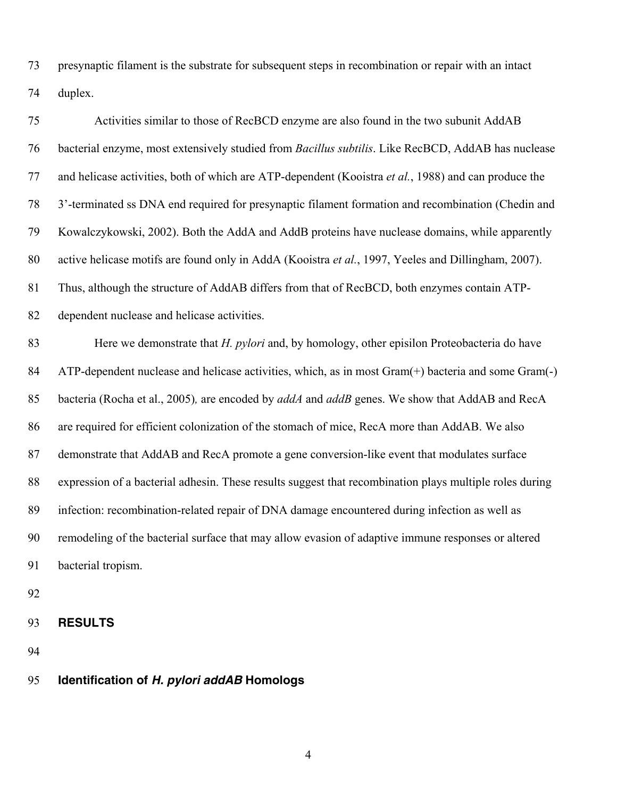73 presynaptic filament is the substrate for subsequent steps in recombination or repair with an intact 74 duplex.

75 Activities similar to those of RecBCD enzyme are also found in the two subunit AddAB 76 bacterial enzyme, most extensively studied from *Bacillus subtilis*. Like RecBCD, AddAB has nuclease 77 and helicase activities, both of which are ATP-dependent (Kooistra *et al.*, 1988) and can produce the 78 3'-terminated ss DNA end required for presynaptic filament formation and recombination (Chedin and 79 Kowalczykowski, 2002). Both the AddA and AddB proteins have nuclease domains, while apparently 80 active helicase motifs are found only in AddA (Kooistra *et al.*, 1997, Yeeles and Dillingham, 2007). 81 Thus, although the structure of AddAB differs from that of RecBCD, both enzymes contain ATP-82 dependent nuclease and helicase activities. 83 Here we demonstrate that *H. pylori* and, by homology, other episilon Proteobacteria do have 84 ATP-dependent nuclease and helicase activities, which, as in most Gram(+) bacteria and some Gram(-) 85 bacteria (Rocha et al., 2005)*,* are encoded by *addA* and *addB* genes. We show that AddAB and RecA 86 are required for efficient colonization of the stomach of mice, RecA more than AddAB. We also 87 demonstrate that AddAB and RecA promote a gene conversion-like event that modulates surface 88 expression of a bacterial adhesin. These results suggest that recombination plays multiple roles during 89 infection: recombination-related repair of DNA damage encountered during infection as well as 90 remodeling of the bacterial surface that may allow evasion of adaptive immune responses or altered 91 bacterial tropism.

92

# 93 **RESULTS**

94

### 95 **Identification of** *H. pylori addAB* **Homologs**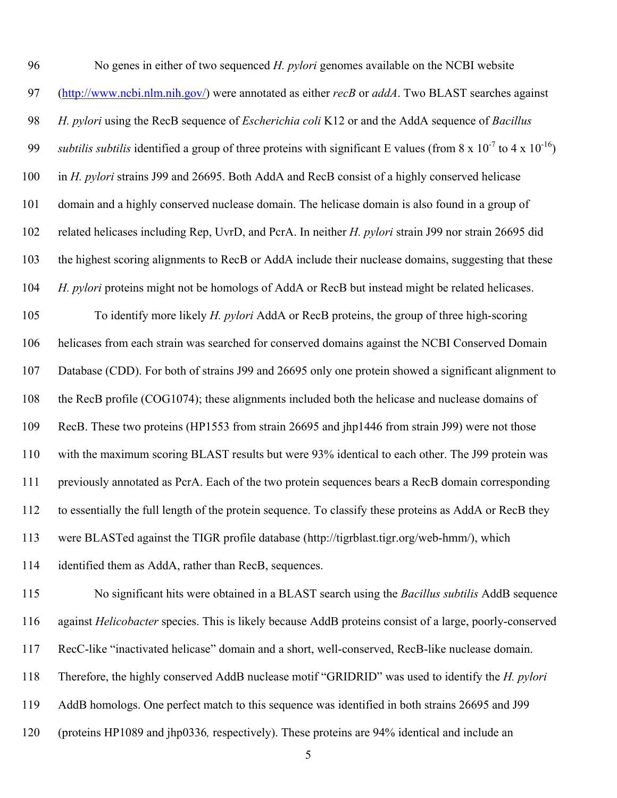| 96  | No genes in either of two sequenced $H$ . <i>pylori</i> genomes available on the NCBI website                                                 |
|-----|-----------------------------------------------------------------------------------------------------------------------------------------------|
| 97  | (http://www.ncbi.nlm.nih.gov/) were annotated as either recB or addA. Two BLAST searches against                                              |
| 98  | H. pylori using the RecB sequence of <i>Escherichia coli</i> K12 or and the AddA sequence of <i>Bacillus</i>                                  |
| 99  | <i>subtilis subtilis</i> identified a group of three proteins with significant E values (from 8 x 10 <sup>-7</sup> to 4 x 10 <sup>-16</sup> ) |
| 100 | in H. pylori strains J99 and 26695. Both AddA and RecB consist of a highly conserved helicase                                                 |
| 101 | domain and a highly conserved nuclease domain. The helicase domain is also found in a group of                                                |
| 102 | related helicases including Rep, UvrD, and PcrA. In neither H. pylori strain J99 nor strain 26695 did                                         |
| 103 | the highest scoring alignments to RecB or AddA include their nuclease domains, suggesting that these                                          |
| 104 | H. pylori proteins might not be homologs of AddA or RecB but instead might be related helicases.                                              |
| 105 | To identify more likely <i>H. pylori</i> AddA or RecB proteins, the group of three high-scoring                                               |
| 106 | helicases from each strain was searched for conserved domains against the NCBI Conserved Domain                                               |
| 107 | Database (CDD). For both of strains J99 and 26695 only one protein showed a significant alignment to                                          |
| 108 | the RecB profile (COG1074); these alignments included both the helicase and nuclease domains of                                               |
| 109 | RecB. These two proteins (HP1553 from strain 26695 and jhp1446 from strain J99) were not those                                                |
| 110 | with the maximum scoring BLAST results but were 93% identical to each other. The J99 protein was                                              |
| 111 | previously annotated as PcrA. Each of the two protein sequences bears a RecB domain corresponding                                             |
| 112 | to essentially the full length of the protein sequence. To classify these proteins as AddA or RecB they                                       |
| 113 | were BLASTed against the TIGR profile database (http://tigrblast.tigr.org/web-hmm/), which                                                    |
| 114 | identified them as AddA, rather than RecB, sequences.                                                                                         |
| 115 | No significant hits were obtained in a BLAST search using the <i>Bacillus subtilis</i> AddB sequence                                          |
| 116 | against <i>Helicobacter</i> species. This is likely because AddB proteins consist of a large, poorly-conserved                                |
| 117 | RecC-like "inactivated helicase" domain and a short, well-conserved, RecB-like nuclease domain.                                               |
| 118 | Therefore, the highly conserved AddB nuclease motif "GRIDRID" was used to identify the H. pylori                                              |
| 119 | AddB homologs. One perfect match to this sequence was identified in both strains 26695 and J99                                                |
|     |                                                                                                                                               |

120 (proteins HP1089 and jhp0336*,* respectively). These proteins are 94% identical and include an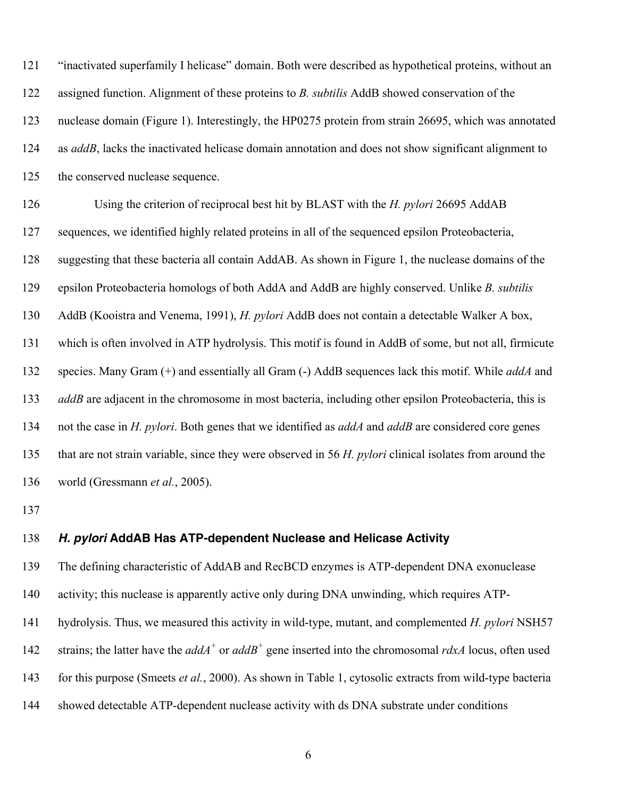121 "inactivated superfamily I helicase" domain. Both were described as hypothetical proteins, without an 122 assigned function. Alignment of these proteins to *B. subtilis* AddB showed conservation of the 123 nuclease domain (Figure 1). Interestingly, the HP0275 protein from strain 26695, which was annotated 124 as *addB*, lacks the inactivated helicase domain annotation and does not show significant alignment to 125 the conserved nuclease sequence.

126 Using the criterion of reciprocal best hit by BLAST with the *H. pylori* 26695 AddAB 127 sequences, we identified highly related proteins in all of the sequenced epsilon Proteobacteria, 128 suggesting that these bacteria all contain AddAB. As shown in Figure 1, the nuclease domains of the 129 epsilon Proteobacteria homologs of both AddA and AddB are highly conserved. Unlike *B. subtilis* 130 AddB (Kooistra and Venema, 1991), *H. pylori* AddB does not contain a detectable Walker A box, 131 which is often involved in ATP hydrolysis. This motif is found in AddB of some, but not all, firmicute 132 species. Many Gram (+) and essentially all Gram (-) AddB sequences lack this motif. While *addA* and 133 *addB* are adjacent in the chromosome in most bacteria, including other epsilon Proteobacteria, this is 134 not the case in *H. pylori*. Both genes that we identified as *addA* and *addB* are considered core genes 135 that are not strain variable, since they were observed in 56 *H. pylori* clinical isolates from around the 136 world (Gressmann *et al.*, 2005).

137

# 138 *H. pylori* **AddAB Has ATP-dependent Nuclease and Helicase Activity**

139 The defining characteristic of AddAB and RecBCD enzymes is ATP-dependent DNA exonuclease

140 activity; this nuclease is apparently active only during DNA unwinding, which requires ATP-

141 hydrolysis. Thus, we measured this activity in wild-type, mutant, and complemented *H. pylori* NSH57

142 strains; the latter have the *addA*<sup>+</sup> or *addB*<sup>+</sup> gene inserted into the chromosomal *rdxA* locus, often used

143 for this purpose (Smeets *et al.*, 2000). As shown in Table 1, cytosolic extracts from wild-type bacteria

144 showed detectable ATP-dependent nuclease activity with ds DNA substrate under conditions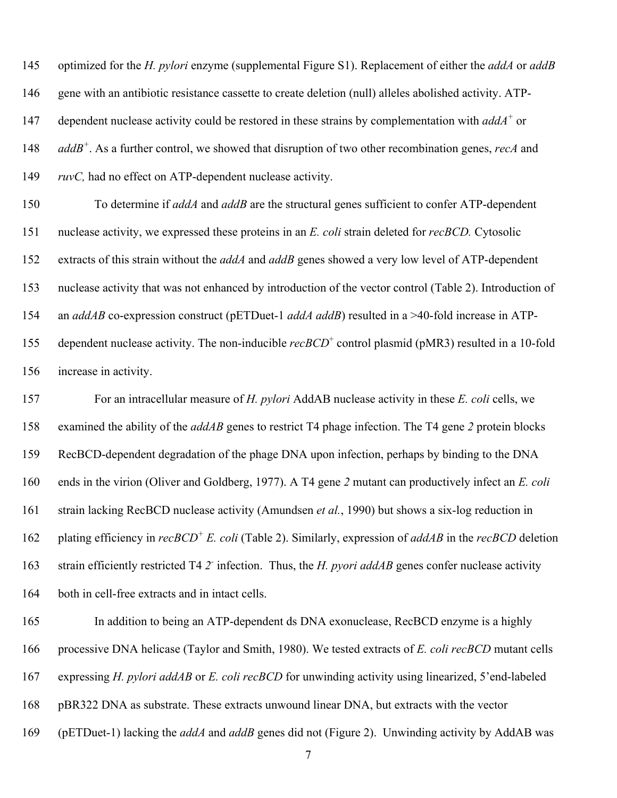145 optimized for the *H. pylori* enzyme (supplemental Figure S1). Replacement of either the *addA* or *addB* 146 gene with an antibiotic resistance cassette to create deletion (null) alleles abolished activity. ATP-147 dependent nuclease activity could be restored in these strains by complementation with *addA<sup>+</sup>* or 148 *addB<sup>+</sup>*. As a further control, we showed that disruption of two other recombination genes, *recA* and 149 *ruvC,* had no effect on ATP-dependent nuclease activity.

150 To determine if *addA* and *addB* are the structural genes sufficient to confer ATP-dependent 151 nuclease activity, we expressed these proteins in an *E. coli* strain deleted for *recBCD.* Cytosolic 152 extracts of this strain without the *addA* and *addB* genes showed a very low level of ATP-dependent 153 nuclease activity that was not enhanced by introduction of the vector control (Table 2). Introduction of 154 an *addAB* co-expression construct (pETDuet-1 *addA addB*) resulted in a >40-fold increase in ATP-155 dependent nuclease activity. The non-inducible *recBCD*<sup>+</sup> control plasmid (pMR3) resulted in a 10-fold 156 increase in activity.

157 For an intracellular measure of *H. pylori* AddAB nuclease activity in these *E. coli* cells, we 158 examined the ability of the *addAB* genes to restrict T4 phage infection. The T4 gene *2* protein blocks 159 RecBCD-dependent degradation of the phage DNA upon infection, perhaps by binding to the DNA 160 ends in the virion (Oliver and Goldberg, 1977). A T4 gene *2* mutant can productively infect an *E. coli* 161 strain lacking RecBCD nuclease activity (Amundsen *et al.*, 1990) but shows a six-log reduction in 162 plating efficiency in *recBCD<sup>+</sup> E. coli* (Table 2). Similarly, expression of *addAB* in the *recBCD* deletion 163 strain efficiently restricted T4 2<sup>*-*</sup> infection. Thus, the *H. pyori addAB* genes confer nuclease activity 164 both in cell-free extracts and in intact cells.

165 In addition to being an ATP-dependent ds DNA exonuclease, RecBCD enzyme is a highly

166 processive DNA helicase (Taylor and Smith, 1980). We tested extracts of *E. coli recBCD* mutant cells

167 expressing *H. pylori addAB* or *E. coli recBCD* for unwinding activity using linearized, 5'end-labeled

168 pBR322 DNA as substrate. These extracts unwound linear DNA, but extracts with the vector

169 (pETDuet-1) lacking the *addA* and *addB* genes did not (Figure 2). Unwinding activity by AddAB was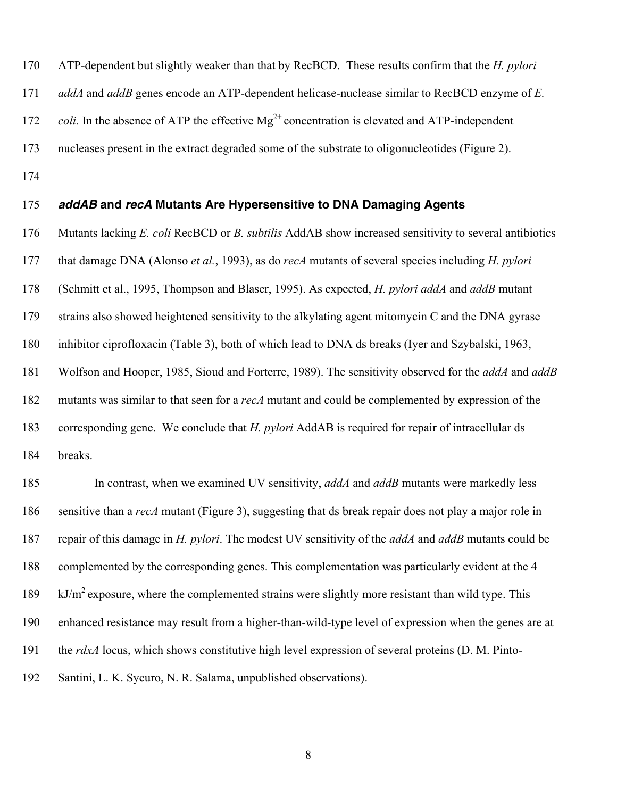- 170 ATP-dependent but slightly weaker than that by RecBCD. These results confirm that the *H. pylori*
- 171 *addA* and *addB* genes encode an ATP-dependent helicase-nuclease similar to RecBCD enzyme of *E.*
- 172 *coli.* In the absence of ATP the effective Mg<sup>2+</sup> concentration is elevated and ATP-independent
- 173 nucleases present in the extract degraded some of the substrate to oligonucleotides (Figure 2).
- 174

#### 175 *addAB* **and** *recA* **Mutants Are Hypersensitive to DNA Damaging Agents**

176 Mutants lacking *E. coli* RecBCD or *B. subtilis* AddAB show increased sensitivity to several antibiotics 177 that damage DNA (Alonso *et al.*, 1993), as do *recA* mutants of several species including *H. pylori*  178 (Schmitt et al., 1995, Thompson and Blaser, 1995). As expected, *H. pylori addA* and *addB* mutant 179 strains also showed heightened sensitivity to the alkylating agent mitomycin C and the DNA gyrase 180 inhibitor ciprofloxacin (Table 3), both of which lead to DNA ds breaks (Iyer and Szybalski, 1963, 181 Wolfson and Hooper, 1985, Sioud and Forterre, 1989). The sensitivity observed for the *addA* and *addB* 182 mutants was similar to that seen for a *recA* mutant and could be complemented by expression of the 183 corresponding gene. We conclude that *H. pylori* AddAB is required for repair of intracellular ds 184 breaks. 185 In contrast, when we examined UV sensitivity, *addA* and *addB* mutants were markedly less 186 sensitive than a *recA* mutant (Figure 3), suggesting that ds break repair does not play a major role in 187 repair of this damage in *H. pylori*. The modest UV sensitivity of the *addA* and *addB* mutants could be

188 complemented by the corresponding genes. This complementation was particularly evident at the 4

- $kJ/m^2$  exposure, where the complemented strains were slightly more resistant than wild type. This
- 190 enhanced resistance may result from a higher-than-wild-type level of expression when the genes are at
- 191 the *rdxA* locus, which shows constitutive high level expression of several proteins (D. M. Pinto-
- 192 Santini, L. K. Sycuro, N. R. Salama, unpublished observations).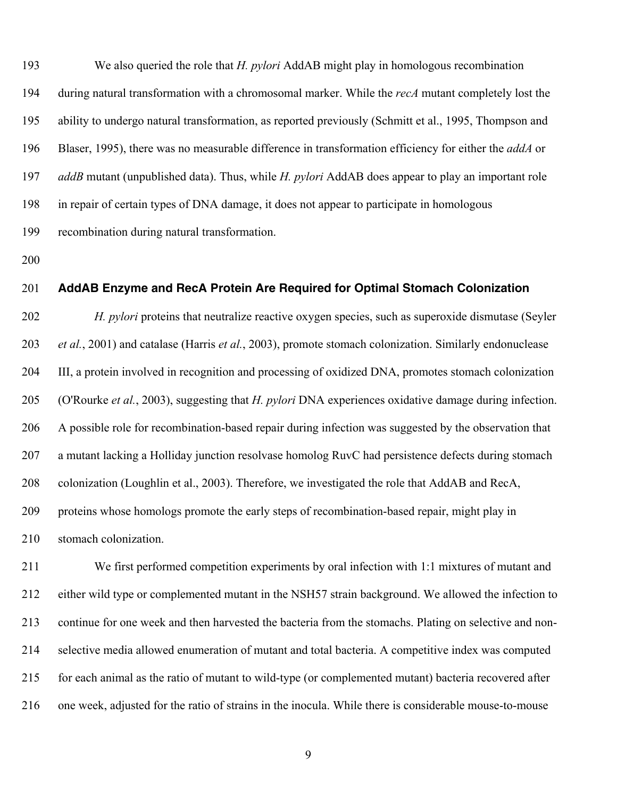193 We also queried the role that *H. pylori* AddAB might play in homologous recombination 194 during natural transformation with a chromosomal marker. While the *recA* mutant completely lost the 195 ability to undergo natural transformation, as reported previously (Schmitt et al., 1995, Thompson and 196 Blaser, 1995), there was no measurable difference in transformation efficiency for either the *addA* or 197 *addB* mutant (unpublished data). Thus, while *H. pylori* AddAB does appear to play an important role 198 in repair of certain types of DNA damage, it does not appear to participate in homologous 199 recombination during natural transformation.

200

# 201 **AddAB Enzyme and RecA Protein Are Required for Optimal Stomach Colonization**

202 *H. pylori* proteins that neutralize reactive oxygen species, such as superoxide dismutase (Seyler 203 *et al.*, 2001) and catalase (Harris *et al.*, 2003), promote stomach colonization. Similarly endonuclease 204 III, a protein involved in recognition and processing of oxidized DNA, promotes stomach colonization 205 (O'Rourke *et al.*, 2003), suggesting that *H. pylori* DNA experiences oxidative damage during infection. 206 A possible role for recombination-based repair during infection was suggested by the observation that 207 a mutant lacking a Holliday junction resolvase homolog RuvC had persistence defects during stomach 208 colonization (Loughlin et al., 2003). Therefore, we investigated the role that AddAB and RecA, 209 proteins whose homologs promote the early steps of recombination-based repair, might play in 210 stomach colonization.

211 We first performed competition experiments by oral infection with 1:1 mixtures of mutant and 212 either wild type or complemented mutant in the NSH57 strain background. We allowed the infection to 213 continue for one week and then harvested the bacteria from the stomachs. Plating on selective and non-214 selective media allowed enumeration of mutant and total bacteria. A competitive index was computed 215 for each animal as the ratio of mutant to wild-type (or complemented mutant) bacteria recovered after 216 one week, adjusted for the ratio of strains in the inocula. While there is considerable mouse-to-mouse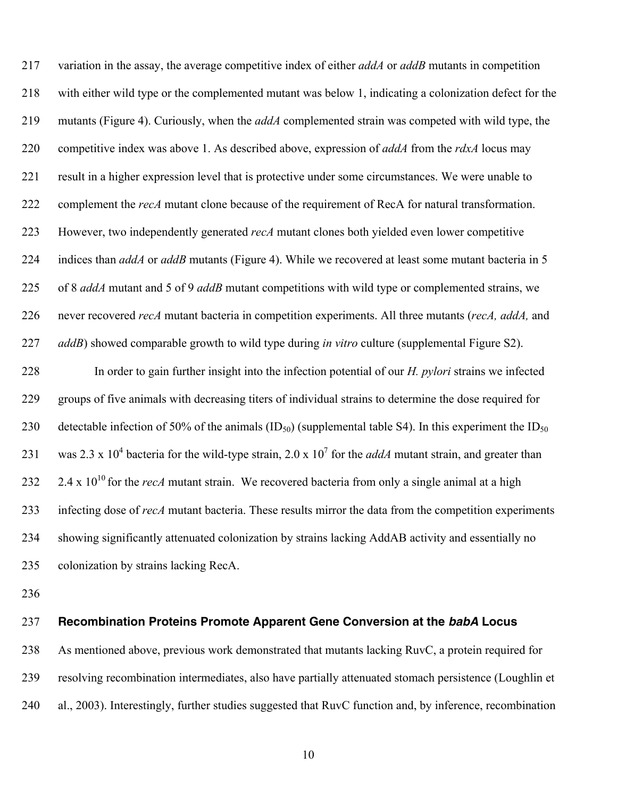217 variation in the assay, the average competitive index of either *addA* or *addB* mutants in competition 218 with either wild type or the complemented mutant was below 1, indicating a colonization defect for the 219 mutants (Figure 4). Curiously, when the *addA* complemented strain was competed with wild type, the 220 competitive index was above 1. As described above, expression of *addA* from the *rdxA* locus may 221 result in a higher expression level that is protective under some circumstances. We were unable to 222 complement the *recA* mutant clone because of the requirement of RecA for natural transformation. 223 However, two independently generated *recA* mutant clones both yielded even lower competitive 224 indices than *addA* or *addB* mutants (Figure 4). While we recovered at least some mutant bacteria in 5 225 of 8 *addA* mutant and 5 of 9 *addB* mutant competitions with wild type or complemented strains, we 226 never recovered *recA* mutant bacteria in competition experiments. All three mutants (*recA, addA,* and 227 *addB*) showed comparable growth to wild type during *in vitro* culture (supplemental Figure S2). 228 In order to gain further insight into the infection potential of our *H. pylori* strains we infected 229 groups of five animals with decreasing titers of individual strains to determine the dose required for 230 detectable infection of 50% of the animals  $(ID_{50})$  (supplemental table S4). In this experiment the  $ID_{50}$ 231 was 2.3 x 10<sup>4</sup> bacteria for the wild-type strain, 2.0 x 10<sup>7</sup> for the *addA* mutant strain, and greater than 232  $2.4 \times 10^{10}$  for the *recA* mutant strain. We recovered bacteria from only a single animal at a high 233 infecting dose of *recA* mutant bacteria. These results mirror the data from the competition experiments

234 showing significantly attenuated colonization by strains lacking AddAB activity and essentially no 235 colonization by strains lacking RecA.

236

# 237 **Recombination Proteins Promote Apparent Gene Conversion at the** *babA* **Locus**

238 As mentioned above, previous work demonstrated that mutants lacking RuvC, a protein required for 239 resolving recombination intermediates, also have partially attenuated stomach persistence (Loughlin et 240 al., 2003). Interestingly, further studies suggested that RuvC function and, by inference, recombination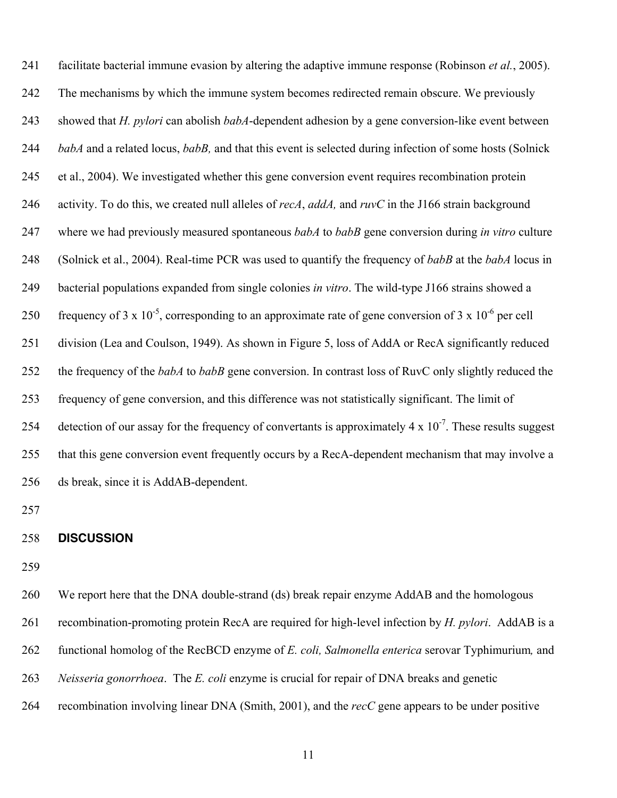241 facilitate bacterial immune evasion by altering the adaptive immune response (Robinson *et al.*, 2005). 242 The mechanisms by which the immune system becomes redirected remain obscure. We previously 243 showed that *H. pylori* can abolish *babA*-dependent adhesion by a gene conversion-like event between 244 *babA* and a related locus, *babB,* and that this event is selected during infection of some hosts (Solnick 245 et al., 2004). We investigated whether this gene conversion event requires recombination protein 246 activity. To do this, we created null alleles of *recA*, *addA,* and *ruvC* in the J166 strain background 247 where we had previously measured spontaneous *babA* to *babB* gene conversion during *in vitro* culture 248 (Solnick et al., 2004). Real-time PCR was used to quantify the frequency of *babB* at the *babA* locus in 249 bacterial populations expanded from single colonies *in vitro*. The wild-type J166 strains showed a 250 frequency of 3 x 10<sup>-5</sup>, corresponding to an approximate rate of gene conversion of 3 x 10<sup>-6</sup> per cell 251 division (Lea and Coulson, 1949). As shown in Figure 5, loss of AddA or RecA significantly reduced 252 the frequency of the *babA* to *babB* gene conversion. In contrast loss of RuvC only slightly reduced the 253 frequency of gene conversion, and this difference was not statistically significant. The limit of 254 detection of our assay for the frequency of convertants is approximately  $4 \times 10^{-7}$ . These results suggest 255 that this gene conversion event frequently occurs by a RecA-dependent mechanism that may involve a 256 ds break, since it is AddAB-dependent.

257

### 258 **DISCUSSION**

259

260 We report here that the DNA double-strand (ds) break repair enzyme AddAB and the homologous

261 recombination-promoting protein RecA are required for high-level infection by *H. pylori*. AddAB is a

- 262 functional homolog of the RecBCD enzyme of *E. coli, Salmonella enterica* serovar Typhimurium*,* and
- 263 *Neisseria gonorrhoea*. The *E. coli* enzyme is crucial for repair of DNA breaks and genetic
- 264 recombination involving linear DNA (Smith, 2001), and the *recC* gene appears to be under positive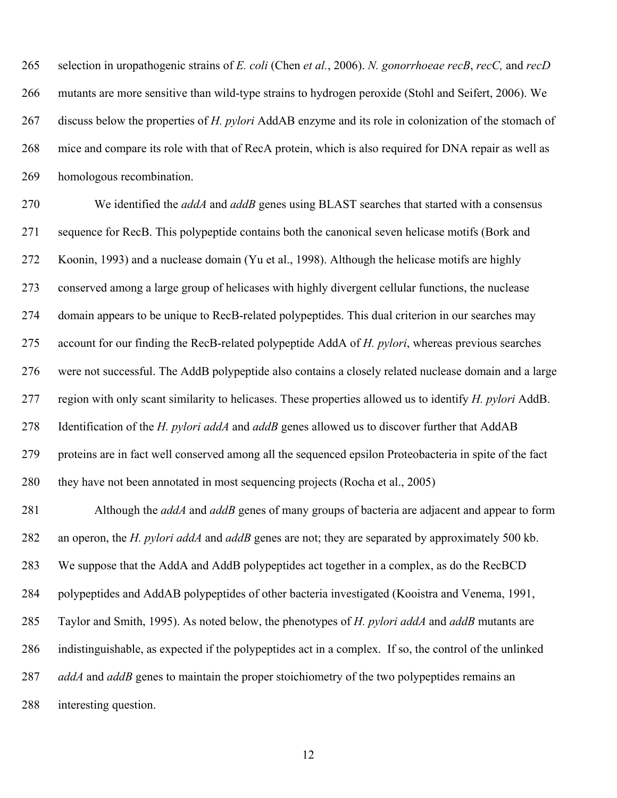265 selection in uropathogenic strains of *E. coli* (Chen *et al.*, 2006). *N. gonorrhoeae recB*, *recC,* and *recD* 266 mutants are more sensitive than wild-type strains to hydrogen peroxide (Stohl and Seifert, 2006). We 267 discuss below the properties of *H. pylori* AddAB enzyme and its role in colonization of the stomach of 268 mice and compare its role with that of RecA protein, which is also required for DNA repair as well as 269 homologous recombination.

270 We identified the *addA* and *addB* genes using BLAST searches that started with a consensus 271 sequence for RecB. This polypeptide contains both the canonical seven helicase motifs (Bork and 272 Koonin, 1993) and a nuclease domain (Yu et al., 1998). Although the helicase motifs are highly 273 conserved among a large group of helicases with highly divergent cellular functions, the nuclease 274 domain appears to be unique to RecB-related polypeptides. This dual criterion in our searches may 275 account for our finding the RecB-related polypeptide AddA of *H. pylori*, whereas previous searches 276 were not successful. The AddB polypeptide also contains a closely related nuclease domain and a large 277 region with only scant similarity to helicases. These properties allowed us to identify *H. pylori* AddB. 278 Identification of the *H. pylori addA* and *addB* genes allowed us to discover further that AddAB 279 proteins are in fact well conserved among all the sequenced epsilon Proteobacteria in spite of the fact 280 they have not been annotated in most sequencing projects (Rocha et al., 2005)

281 Although the *addA* and *addB* genes of many groups of bacteria are adjacent and appear to form 282 an operon, the *H. pylori addA* and *addB* genes are not; they are separated by approximately 500 kb. 283 We suppose that the AddA and AddB polypeptides act together in a complex, as do the RecBCD 284 polypeptides and AddAB polypeptides of other bacteria investigated (Kooistra and Venema, 1991, 285 Taylor and Smith, 1995). As noted below, the phenotypes of *H. pylori addA* and *addB* mutants are 286 indistinguishable, as expected if the polypeptides act in a complex. If so, the control of the unlinked 287 *addA* and *addB* genes to maintain the proper stoichiometry of the two polypeptides remains an 288 interesting question.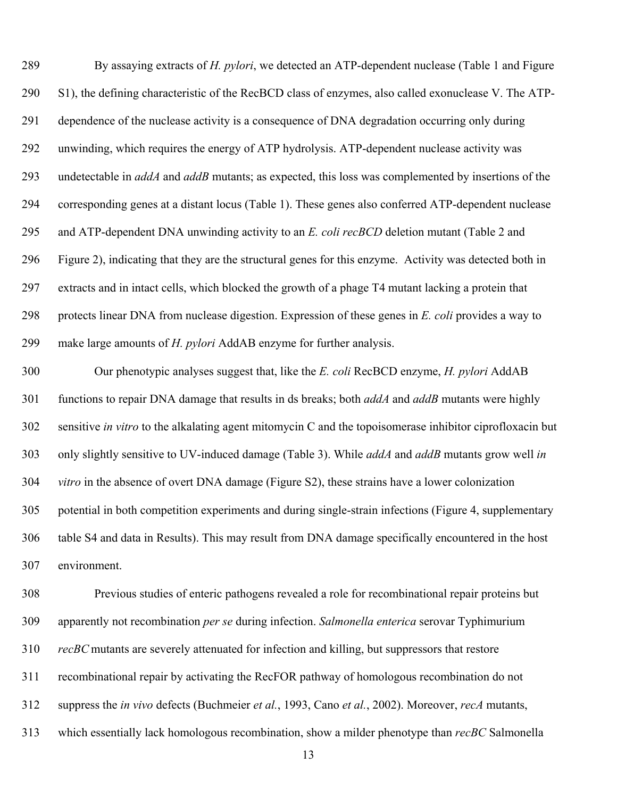289 By assaying extracts of *H. pylori*, we detected an ATP-dependent nuclease (Table 1 and Figure 290 S1), the defining characteristic of the RecBCD class of enzymes, also called exonuclease V. The ATP-291 dependence of the nuclease activity is a consequence of DNA degradation occurring only during 292 unwinding, which requires the energy of ATP hydrolysis. ATP-dependent nuclease activity was 293 undetectable in *addA* and *addB* mutants; as expected, this loss was complemented by insertions of the 294 corresponding genes at a distant locus (Table 1). These genes also conferred ATP-dependent nuclease 295 and ATP-dependent DNA unwinding activity to an *E. coli recBCD* deletion mutant (Table 2 and 296 Figure 2), indicating that they are the structural genes for this enzyme. Activity was detected both in 297 extracts and in intact cells, which blocked the growth of a phage T4 mutant lacking a protein that 298 protects linear DNA from nuclease digestion. Expression of these genes in *E. coli* provides a way to 299 make large amounts of *H. pylori* AddAB enzyme for further analysis.

300 Our phenotypic analyses suggest that, like the *E. coli* RecBCD enzyme, *H. pylori* AddAB 301 functions to repair DNA damage that results in ds breaks; both *addA* and *addB* mutants were highly 302 sensitive *in vitro* to the alkalating agent mitomycin C and the topoisomerase inhibitor ciprofloxacin but 303 only slightly sensitive to UV-induced damage (Table 3). While *addA* and *addB* mutants grow well *in*  304 *vitro* in the absence of overt DNA damage (Figure S2), these strains have a lower colonization 305 potential in both competition experiments and during single-strain infections (Figure 4, supplementary 306 table S4 and data in Results). This may result from DNA damage specifically encountered in the host 307 environment.

308 Previous studies of enteric pathogens revealed a role for recombinational repair proteins but 309 apparently not recombination *per se* during infection. *Salmonella enterica* serovar Typhimurium 310 *recBC* mutants are severely attenuated for infection and killing, but suppressors that restore 311 recombinational repair by activating the RecFOR pathway of homologous recombination do not 312 suppress the *in vivo* defects (Buchmeier *et al.*, 1993, Cano *et al.*, 2002). Moreover, *recA* mutants, 313 which essentially lack homologous recombination, show a milder phenotype than *recBC* Salmonella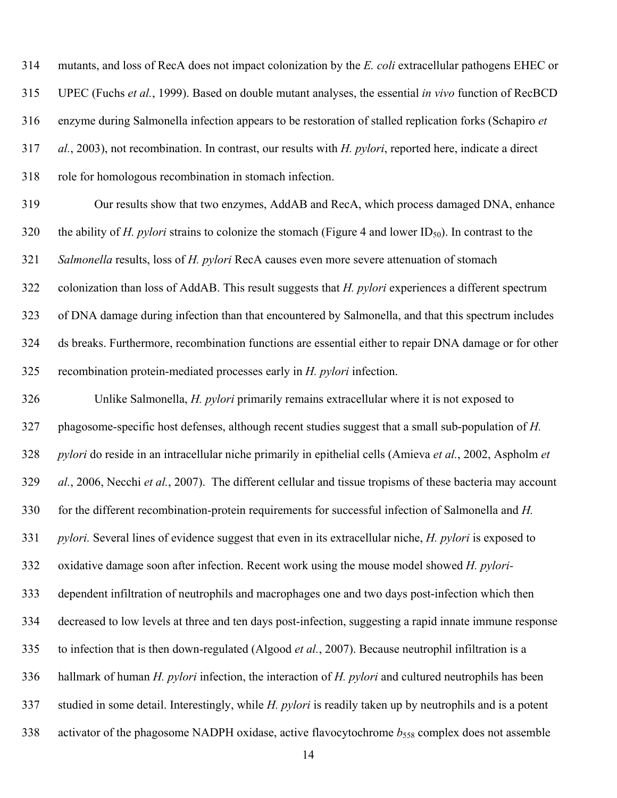314 mutants, and loss of RecA does not impact colonization by the *E. coli* extracellular pathogens EHEC or 315 UPEC (Fuchs *et al.*, 1999). Based on double mutant analyses, the essential *in vivo* function of RecBCD 316 enzyme during Salmonella infection appears to be restoration of stalled replication forks (Schapiro *et*  317 *al.*, 2003), not recombination. In contrast, our results with *H. pylori*, reported here, indicate a direct 318 role for homologous recombination in stomach infection.

319 Our results show that two enzymes, AddAB and RecA, which process damaged DNA, enhance 320 the ability of *H. pylori* strains to colonize the stomach (Figure 4 and lower ID<sub>50</sub>). In contrast to the 321 *Salmonella* results, loss of *H. pylori* RecA causes even more severe attenuation of stomach 322 colonization than loss of AddAB. This result suggests that *H. pylori* experiences a different spectrum 323 of DNA damage during infection than that encountered by Salmonella, and that this spectrum includes 324 ds breaks. Furthermore, recombination functions are essential either to repair DNA damage or for other 325 recombination protein-mediated processes early in *H. pylori* infection.

326 Unlike Salmonella, *H. pylori* primarily remains extracellular where it is not exposed to 327 phagosome-specific host defenses, although recent studies suggest that a small sub-population of *H.*  328 *pylori* do reside in an intracellular niche primarily in epithelial cells (Amieva *et al.*, 2002, Aspholm *et*  329 *al.*, 2006, Necchi *et al.*, 2007). The different cellular and tissue tropisms of these bacteria may account 330 for the different recombination-protein requirements for successful infection of Salmonella and *H.*  331 *pylori.* Several lines of evidence suggest that even in its extracellular niche, *H. pylori* is exposed to 332 oxidative damage soon after infection. Recent work using the mouse model showed *H. pylori-*333 dependent infiltration of neutrophils and macrophages one and two days post-infection which then 334 decreased to low levels at three and ten days post-infection, suggesting a rapid innate immune response 335 to infection that is then down-regulated (Algood *et al.*, 2007). Because neutrophil infiltration is a 336 hallmark of human *H. pylori* infection, the interaction of *H. pylori* and cultured neutrophils has been 337 studied in some detail. Interestingly, while *H. pylori* is readily taken up by neutrophils and is a potent 338 activator of the phagosome NADPH oxidase, active flavocytochrome *b*558 complex does not assemble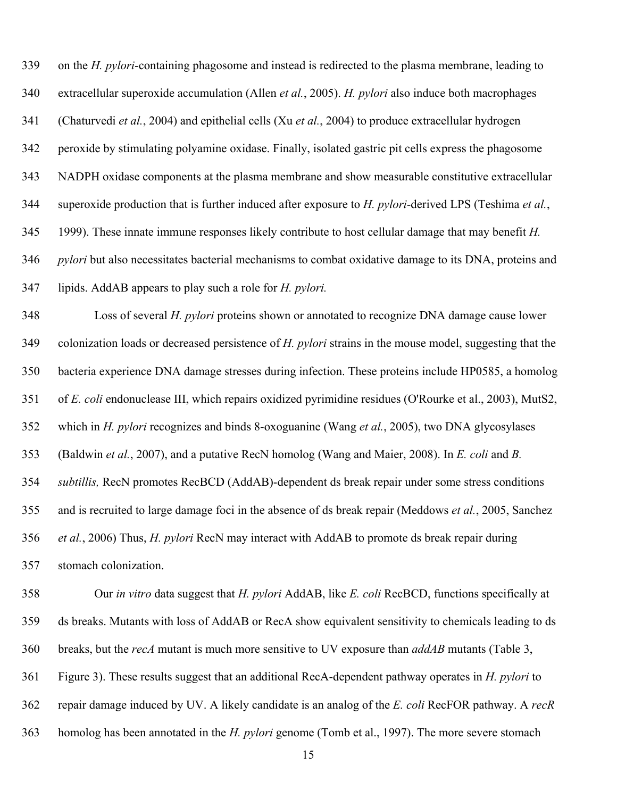339 on the *H. pylori*-containing phagosome and instead is redirected to the plasma membrane, leading to 340 extracellular superoxide accumulation (Allen *et al.*, 2005). *H. pylori* also induce both macrophages 341 (Chaturvedi *et al.*, 2004) and epithelial cells (Xu *et al.*, 2004) to produce extracellular hydrogen 342 peroxide by stimulating polyamine oxidase. Finally, isolated gastric pit cells express the phagosome 343 NADPH oxidase components at the plasma membrane and show measurable constitutive extracellular 344 superoxide production that is further induced after exposure to *H. pylori*-derived LPS (Teshima *et al.*, 345 1999). These innate immune responses likely contribute to host cellular damage that may benefit *H.*  346 *pylori* but also necessitates bacterial mechanisms to combat oxidative damage to its DNA, proteins and 347 lipids. AddAB appears to play such a role for *H. pylori.*

348 Loss of several *H. pylori* proteins shown or annotated to recognize DNA damage cause lower 349 colonization loads or decreased persistence of *H. pylori* strains in the mouse model, suggesting that the 350 bacteria experience DNA damage stresses during infection. These proteins include HP0585, a homolog 351 of *E. coli* endonuclease III, which repairs oxidized pyrimidine residues (O'Rourke et al., 2003), MutS2, 352 which in *H. pylori* recognizes and binds 8-oxoguanine (Wang *et al.*, 2005), two DNA glycosylases 353 (Baldwin *et al.*, 2007), and a putative RecN homolog (Wang and Maier, 2008). In *E. coli* and *B.*  354 *subtillis,* RecN promotes RecBCD (AddAB)-dependent ds break repair under some stress conditions 355 and is recruited to large damage foci in the absence of ds break repair (Meddows *et al.*, 2005, Sanchez 356 *et al.*, 2006) Thus, *H. pylori* RecN may interact with AddAB to promote ds break repair during 357 stomach colonization.

358 Our *in vitro* data suggest that *H. pylori* AddAB, like *E. coli* RecBCD, functions specifically at 359 ds breaks. Mutants with loss of AddAB or RecA show equivalent sensitivity to chemicals leading to ds 360 breaks, but the *recA* mutant is much more sensitive to UV exposure than *addAB* mutants (Table 3, 361 Figure 3). These results suggest that an additional RecA-dependent pathway operates in *H. pylori* to 362 repair damage induced by UV. A likely candidate is an analog of the *E. coli* RecFOR pathway. A *recR* 363 homolog has been annotated in the *H. pylori* genome (Tomb et al., 1997). The more severe stomach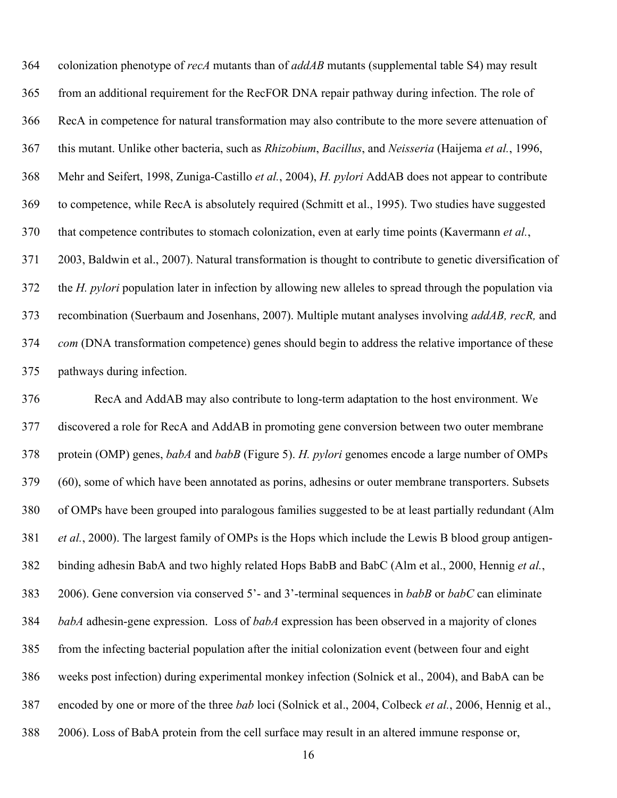364 colonization phenotype of *recA* mutants than of *addAB* mutants (supplemental table S4) may result 365 from an additional requirement for the RecFOR DNA repair pathway during infection. The role of 366 RecA in competence for natural transformation may also contribute to the more severe attenuation of 367 this mutant. Unlike other bacteria, such as *Rhizobium*, *Bacillus*, and *Neisseria* (Haijema *et al.*, 1996, 368 Mehr and Seifert, 1998, Zuniga-Castillo *et al.*, 2004), *H. pylori* AddAB does not appear to contribute 369 to competence, while RecA is absolutely required (Schmitt et al., 1995). Two studies have suggested 370 that competence contributes to stomach colonization, even at early time points (Kavermann *et al.*, 371 2003, Baldwin et al., 2007). Natural transformation is thought to contribute to genetic diversification of 372 the *H. pylori* population later in infection by allowing new alleles to spread through the population via 373 recombination (Suerbaum and Josenhans, 2007). Multiple mutant analyses involving *addAB, recR,* and 374 *com* (DNA transformation competence) genes should begin to address the relative importance of these 375 pathways during infection.

376 RecA and AddAB may also contribute to long-term adaptation to the host environment. We 377 discovered a role for RecA and AddAB in promoting gene conversion between two outer membrane 378 protein (OMP) genes, *babA* and *babB* (Figure 5). *H. pylori* genomes encode a large number of OMPs 379 (60), some of which have been annotated as porins, adhesins or outer membrane transporters. Subsets 380 of OMPs have been grouped into paralogous families suggested to be at least partially redundant (Alm 381 *et al.*, 2000). The largest family of OMPs is the Hops which include the Lewis B blood group antigen-382 binding adhesin BabA and two highly related Hops BabB and BabC (Alm et al., 2000, Hennig *et al.*, 383 2006). Gene conversion via conserved 5'- and 3'-terminal sequences in *babB* or *babC* can eliminate 384 *babA* adhesin-gene expression. Loss of *babA* expression has been observed in a majority of clones 385 from the infecting bacterial population after the initial colonization event (between four and eight 386 weeks post infection) during experimental monkey infection (Solnick et al., 2004), and BabA can be 387 encoded by one or more of the three *bab* loci (Solnick et al., 2004, Colbeck *et al.*, 2006, Hennig et al., 388 2006). Loss of BabA protein from the cell surface may result in an altered immune response or,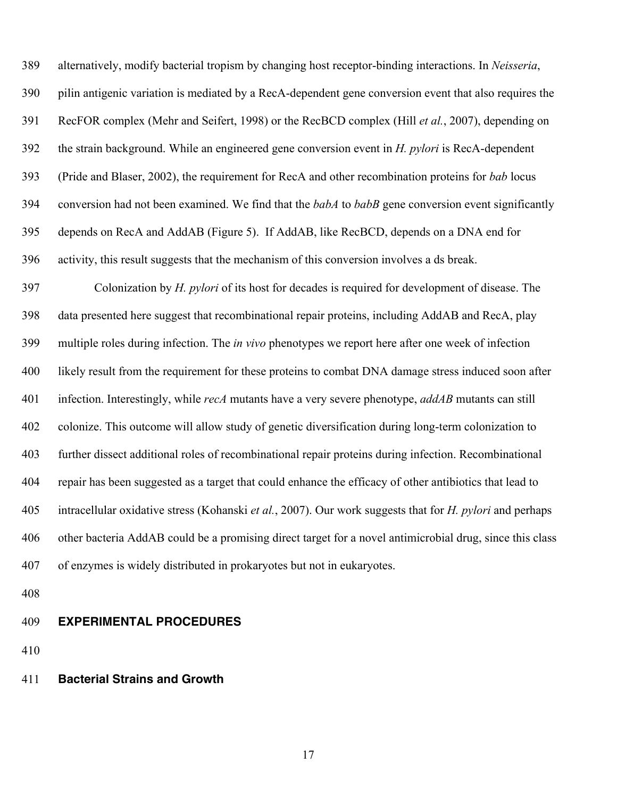389 alternatively, modify bacterial tropism by changing host receptor-binding interactions. In *Neisseria*, 390 pilin antigenic variation is mediated by a RecA-dependent gene conversion event that also requires the 391 RecFOR complex (Mehr and Seifert, 1998) or the RecBCD complex (Hill *et al.*, 2007), depending on 392 the strain background. While an engineered gene conversion event in *H. pylori* is RecA-dependent 393 (Pride and Blaser, 2002), the requirement for RecA and other recombination proteins for *bab* locus 394 conversion had not been examined. We find that the *babA* to *babB* gene conversion event significantly 395 depends on RecA and AddAB (Figure 5). If AddAB, like RecBCD, depends on a DNA end for 396 activity, this result suggests that the mechanism of this conversion involves a ds break. 397 Colonization by *H. pylori* of its host for decades is required for development of disease. The 398 data presented here suggest that recombinational repair proteins, including AddAB and RecA, play 399 multiple roles during infection. The *in vivo* phenotypes we report here after one week of infection 400 likely result from the requirement for these proteins to combat DNA damage stress induced soon after 401 infection. Interestingly, while *recA* mutants have a very severe phenotype, *addAB* mutants can still 402 colonize. This outcome will allow study of genetic diversification during long-term colonization to 403 further dissect additional roles of recombinational repair proteins during infection. Recombinational 404 repair has been suggested as a target that could enhance the efficacy of other antibiotics that lead to 405 intracellular oxidative stress (Kohanski *et al.*, 2007). Our work suggests that for *H. pylori* and perhaps 406 other bacteria AddAB could be a promising direct target for a novel antimicrobial drug, since this class 407 of enzymes is widely distributed in prokaryotes but not in eukaryotes.

408

# 409 **EXPERIMENTAL PROCEDURES**

410

# 411 **Bacterial Strains and Growth**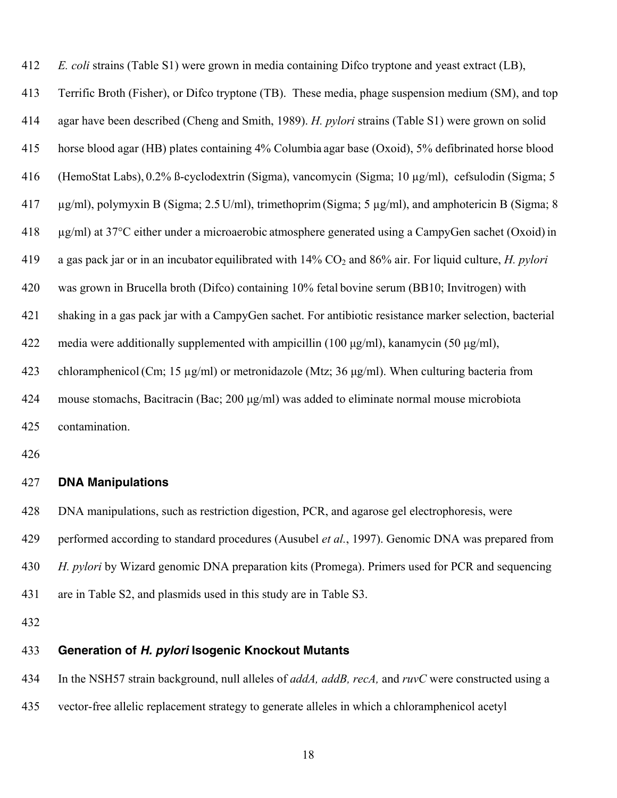| 412 | <i>E. coli</i> strains (Table S1) were grown in media containing Difco tryptone and yeast extract (LB),                      |
|-----|------------------------------------------------------------------------------------------------------------------------------|
| 413 | Terrific Broth (Fisher), or Difco tryptone (TB). These media, phage suspension medium (SM), and top                          |
| 414 | agar have been described (Cheng and Smith, 1989). H. pylori strains (Table S1) were grown on solid                           |
| 415 | horse blood agar (HB) plates containing 4% Columbia agar base (Oxoid), 5% defibrinated horse blood                           |
| 416 | (HemoStat Labs), 0.2% B-cyclodextrin (Sigma), vancomycin (Sigma; 10 µg/ml), cefsulodin (Sigma; 5                             |
| 417 | $\mu$ g/ml), polymyxin B (Sigma; 2.5 U/ml), trimethoprim (Sigma; 5 $\mu$ g/ml), and amphotericin B (Sigma; 8                 |
| 418 | $\mu$ g/ml) at 37°C either under a microaerobic atmosphere generated using a CampyGen sachet (Oxoid) in                      |
| 419 | a gas pack jar or in an incubator equilibrated with $14\%$ CO <sub>2</sub> and 86% air. For liquid culture, <i>H. pylori</i> |
| 420 | was grown in Brucella broth (Difco) containing 10% fetal bovine serum (BB10; Invitrogen) with                                |
| 421 | shaking in a gas pack jar with a CampyGen sachet. For antibiotic resistance marker selection, bacterial                      |
| 422 | media were additionally supplemented with ampicillin (100 $\mu$ g/ml), kanamycin (50 $\mu$ g/ml),                            |
| 423 | chloramphenicol (Cm; 15 $\mu$ g/ml) or metronidazole (Mtz; 36 $\mu$ g/ml). When culturing bacteria from                      |
| 424 | mouse stomachs, Bacitracin (Bac; 200 µg/ml) was added to eliminate normal mouse microbiota                                   |
|     |                                                                                                                              |

425 contamination.

426

# 427 **DNA Manipulations**

428 DNA manipulations, such as restriction digestion, PCR, and agarose gel electrophoresis, were

429 performed according to standard procedures (Ausubel *et al.*, 1997). Genomic DNA was prepared from

430 *H. pylori* by Wizard genomic DNA preparation kits (Promega). Primers used for PCR and sequencing

431 are in Table S2, and plasmids used in this study are in Table S3.

432

# 433 **Generation of** *H. pylori* **Isogenic Knockout Mutants**

434 In the NSH57 strain background, null alleles of *addA, addB, recA,* and *ruvC* were constructed using a

435 vector-free allelic replacement strategy to generate alleles in which a chloramphenicol acetyl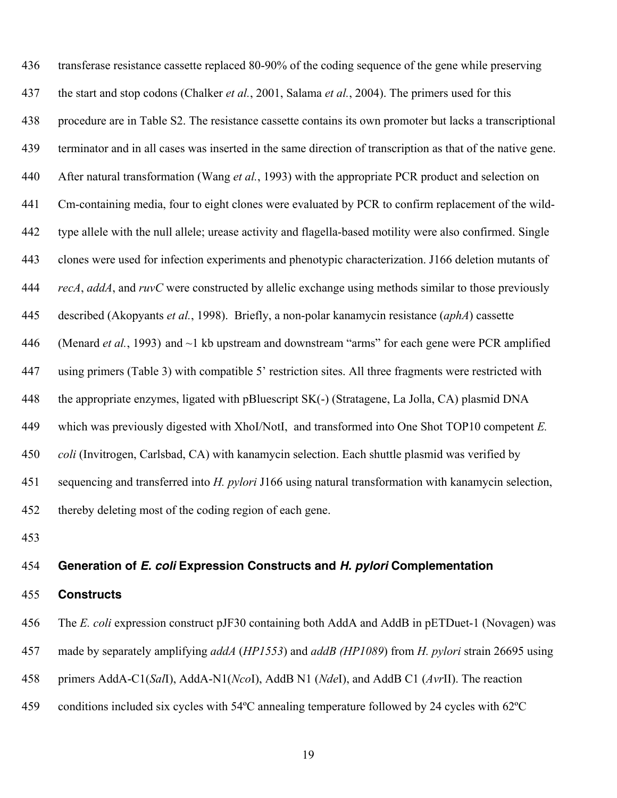436 transferase resistance cassette replaced 80-90% of the coding sequence of the gene while preserving 437 the start and stop codons (Chalker *et al.*, 2001, Salama *et al.*, 2004). The primers used for this 438 procedure are in Table S2. The resistance cassette contains its own promoter but lacks a transcriptional 439 terminator and in all cases was inserted in the same direction of transcription as that of the native gene. 440 After natural transformation (Wang *et al.*, 1993) with the appropriate PCR product and selection on 441 Cm-containing media, four to eight clones were evaluated by PCR to confirm replacement of the wild-442 type allele with the null allele; urease activity and flagella-based motility were also confirmed. Single 443 clones were used for infection experiments and phenotypic characterization. J166 deletion mutants of 444 *recA*, *addA*, and *ruvC* were constructed by allelic exchange using methods similar to those previously 445 described (Akopyants *et al.*, 1998). Briefly, a non-polar kanamycin resistance (*aphA*) cassette 446 (Menard *et al.*, 1993) and ~1 kb upstream and downstream "arms" for each gene were PCR amplified 447 using primers (Table 3) with compatible 5' restriction sites. All three fragments were restricted with 448 the appropriate enzymes, ligated with pBluescript SK(-) (Stratagene, La Jolla, CA) plasmid DNA 449 which was previously digested with XhoI/NotI, and transformed into One Shot TOP10 competent *E.*  450 *coli* (Invitrogen, Carlsbad, CA) with kanamycin selection. Each shuttle plasmid was verified by 451 sequencing and transferred into *H. pylori* J166 using natural transformation with kanamycin selection, 452 thereby deleting most of the coding region of each gene.

453

# 454 **Generation of** *E. coli* **Expression Constructs and** *H. pylori* **Complementation**

# 455 **Constructs**

456 The *E. coli* expression construct pJF30 containing both AddA and AddB in pETDuet-1 (Novagen) was

457 made by separately amplifying *addA* (*HP1553*) and *addB (HP1089*) from *H. pylori* strain 26695 using

458 primers AddA-C1(*Sal*I), AddA-N1(*Nco*I), AddB N1 (*Nde*I), and AddB C1 (*Avr*II). The reaction

459 conditions included six cycles with 54ºC annealing temperature followed by 24 cycles with 62ºC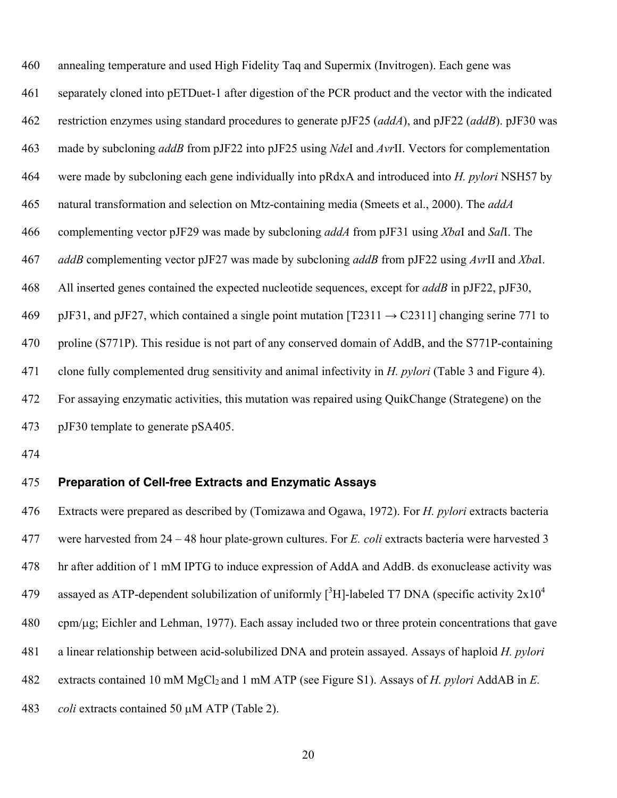460 annealing temperature and used High Fidelity Taq and Supermix (Invitrogen). Each gene was 461 separately cloned into pETDuet-1 after digestion of the PCR product and the vector with the indicated 462 restriction enzymes using standard procedures to generate pJF25 (*addA*), and pJF22 (*addB*). pJF30 was 463 made by subcloning *addB* from pJF22 into pJF25 using *Nde*I and *Avr*II. Vectors for complementation 464 were made by subcloning each gene individually into pRdxA and introduced into *H. pylori* NSH57 by 465 natural transformation and selection on Mtz-containing media (Smeets et al., 2000). The *addA* 466 complementing vector pJF29 was made by subcloning *addA* from pJF31 using *Xba*I and *Sal*I. The 467 *addB* complementing vector pJF27 was made by subcloning *addB* from pJF22 using *Avr*II and *Xba*I. 468 All inserted genes contained the expected nucleotide sequences, except for *addB* in pJF22, pJF30, 469 pJF31, and pJF27, which contained a single point mutation [T2311  $\rightarrow$  C2311] changing serine 771 to 470 proline (S771P). This residue is not part of any conserved domain of AddB, and the S771P-containing 471 clone fully complemented drug sensitivity and animal infectivity in *H. pylori* (Table 3 and Figure 4). 472 For assaying enzymatic activities, this mutation was repaired using QuikChange (Strategene) on the 473 pJF30 template to generate pSA405.

474

### 475 **Preparation of Cell-free Extracts and Enzymatic Assays**

476 Extracts were prepared as described by (Tomizawa and Ogawa, 1972). For *H. pylori* extracts bacteria 477 were harvested from 24 – 48 hour plate-grown cultures. For *E. coli* extracts bacteria were harvested 3 478 hr after addition of 1 mM IPTG to induce expression of AddA and AddB. ds exonuclease activity was 479 assayed as ATP-dependent solubilization of uniformly  $[^{3}H]$ -labeled T7 DNA (specific activity  $2x10^{4}$ 480 cpm/μg; Eichler and Lehman, 1977). Each assay included two or three protein concentrations that gave 481 a linear relationship between acid-solubilized DNA and protein assayed. Assays of haploid *H. pylori*  482 extracts contained 10 mM MgCl<sub>2</sub> and 1 mM ATP (see Figure S1). Assays of *H. pylori AddAB* in *E.* 483 *coli* extracts contained 50 μM ATP (Table 2).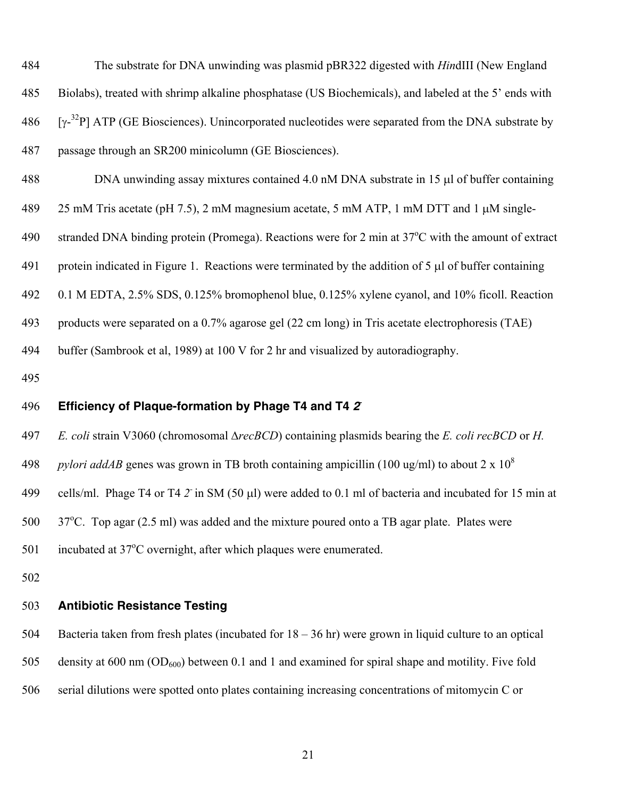| 484 | The substrate for DNA unwinding was plasmid pBR322 digested with <i>HindIII</i> (New England               |
|-----|------------------------------------------------------------------------------------------------------------|
| 485 | Biolabs), treated with shrimp alkaline phosphatase (US Biochemicals), and labeled at the 5' ends with      |
| 486 | $[\gamma^{32}P]$ ATP (GE Biosciences). Unincorporated nucleotides were separated from the DNA substrate by |
| 487 | passage through an SR200 minicolumn (GE Biosciences).                                                      |
| 488 | DNA unwinding assay mixtures contained 4.0 nM DNA substrate in 15 µl of buffer containing                  |

- 489 25 mM Tris acetate (pH 7.5), 2 mM magnesium acetate, 5 mM ATP, 1 mM DTT and 1 μM single-
- 490 stranded DNA binding protein (Promega). Reactions were for 2 min at  $37^{\circ}$ C with the amount of extract

491 protein indicated in Figure 1. Reactions were terminated by the addition of 5 μl of buffer containing

492 0.1 M EDTA, 2.5% SDS, 0.125% bromophenol blue, 0.125% xylene cyanol, and 10% ficoll. Reaction

493 products were separated on a 0.7% agarose gel (22 cm long) in Tris acetate electrophoresis (TAE)

494 buffer (Sambrook et al, 1989) at 100 V for 2 hr and visualized by autoradiography.

495

# **Efficiency of Plaque-formation by Phage T4 and T4** *2-* 496

497 *E. coli* strain V3060 (chromosomal Δ*recBCD*) containing plasmids bearing the *E. coli recBCD* or *H.* 

498 *pylori addAB* genes was grown in TB broth containing ampicillin (100 ug/ml) to about 2 x 10<sup>8</sup>

cells/ml. Phage T4 or T4 *2-* 499 in SM (50 μl) were added to 0.1 ml of bacteria and incubated for 15 min at

 $500 \,$  37<sup>o</sup>C. Top agar (2.5 ml) was added and the mixture poured onto a TB agar plate. Plates were

501 incubated at  $37^{\circ}$ C overnight, after which plaques were enumerated.

502

## 503 **Antibiotic Resistance Testing**

504 Bacteria taken from fresh plates (incubated for 18 – 36 hr) were grown in liquid culture to an optical

505 density at 600 nm (OD<sub>600</sub>) between 0.1 and 1 and examined for spiral shape and motility. Five fold

506 serial dilutions were spotted onto plates containing increasing concentrations of mitomycin C or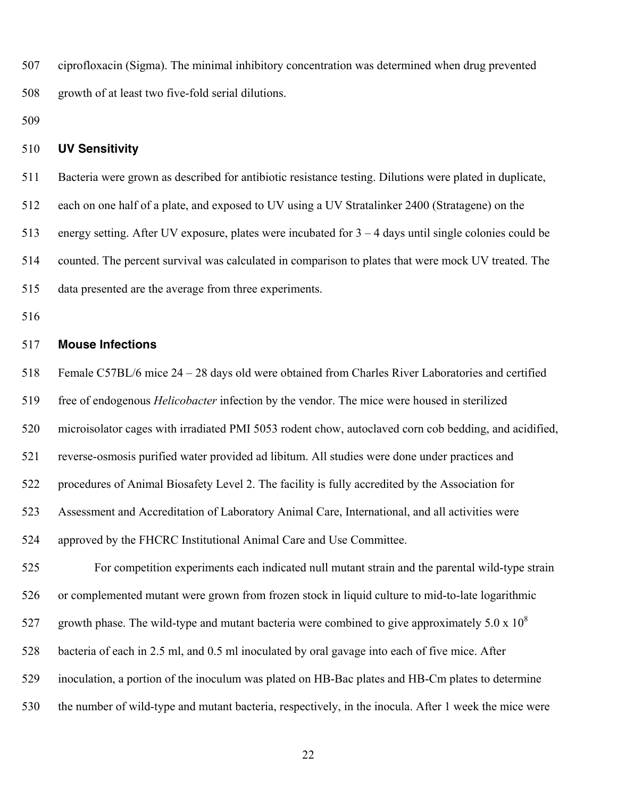507 ciprofloxacin (Sigma). The minimal inhibitory concentration was determined when drug prevented 508 growth of at least two five-fold serial dilutions.

509

# 510 **UV Sensitivity**

511 Bacteria were grown as described for antibiotic resistance testing. Dilutions were plated in duplicate, 512 each on one half of a plate, and exposed to UV using a UV Stratalinker 2400 (Stratagene) on the 513 energy setting. After UV exposure, plates were incubated for 3 – 4 days until single colonies could be 514 counted. The percent survival was calculated in comparison to plates that were mock UV treated. The 515 data presented are the average from three experiments.

516

### 517 **Mouse Infections**

518 Female C57BL/6 mice 24 – 28 days old were obtained from Charles River Laboratories and certified

519 free of endogenous *Helicobacter* infection by the vendor. The mice were housed in sterilized

520 microisolator cages with irradiated PMI 5053 rodent chow, autoclaved corn cob bedding, and acidified,

521 reverse-osmosis purified water provided ad libitum. All studies were done under practices and

522 procedures of Animal Biosafety Level 2. The facility is fully accredited by the Association for

523 Assessment and Accreditation of Laboratory Animal Care, International, and all activities were

524 approved by the FHCRC Institutional Animal Care and Use Committee.

525 For competition experiments each indicated null mutant strain and the parental wild-type strain 526 or complemented mutant were grown from frozen stock in liquid culture to mid-to-late logarithmic 527 growth phase. The wild-type and mutant bacteria were combined to give approximately  $5.0 \times 10^8$ 528 bacteria of each in 2.5 ml, and 0.5 ml inoculated by oral gavage into each of five mice. After 529 inoculation, a portion of the inoculum was plated on HB-Bac plates and HB-Cm plates to determine

530 the number of wild-type and mutant bacteria, respectively, in the inocula. After 1 week the mice were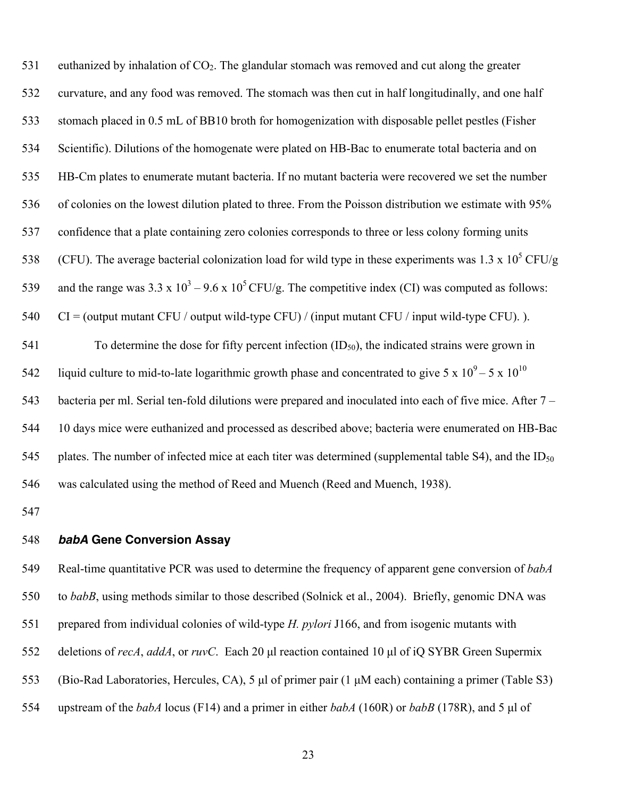531 euthanized by inhalation of  $CO<sub>2</sub>$ . The glandular stomach was removed and cut along the greater 532 curvature, and any food was removed. The stomach was then cut in half longitudinally, and one half 533 stomach placed in 0.5 mL of BB10 broth for homogenization with disposable pellet pestles (Fisher 534 Scientific). Dilutions of the homogenate were plated on HB-Bac to enumerate total bacteria and on 535 HB-Cm plates to enumerate mutant bacteria. If no mutant bacteria were recovered we set the number 536 of colonies on the lowest dilution plated to three. From the Poisson distribution we estimate with 95% 537 confidence that a plate containing zero colonies corresponds to three or less colony forming units 538 (CFU). The average bacterial colonization load for wild type in these experiments was 1.3 x  $10^5$  CFU/g 539 and the range was 3.3 x  $10^3 - 9.6$  x  $10^5$  CFU/g. The competitive index (CI) was computed as follows: 540 CI = (output mutant CFU / output wild-type CFU) / (input mutant CFU / input wild-type CFU). ). 541 To determine the dose for fifty percent infection  $(ID_{50})$ , the indicated strains were grown in 542 liquid culture to mid-to-late logarithmic growth phase and concentrated to give 5 x  $10^9 - 5$  x  $10^{10}$ 543 bacteria per ml. Serial ten-fold dilutions were prepared and inoculated into each of five mice. After 7 – 544 10 days mice were euthanized and processed as described above; bacteria were enumerated on HB-Bac 545 plates. The number of infected mice at each titer was determined (supplemental table S4), and the  $ID_{50}$ 546 was calculated using the method of Reed and Muench (Reed and Muench, 1938).

547

### 548 *babA* **Gene Conversion Assay**

549 Real-time quantitative PCR was used to determine the frequency of apparent gene conversion of *babA* 550 to *babB*, using methods similar to those described (Solnick et al., 2004). Briefly, genomic DNA was 551 prepared from individual colonies of wild-type *H. pylori* J166, and from isogenic mutants with 552 deletions of *recA*, *addA*, or *ruvC*. Each 20 μl reaction contained 10 μl of iQ SYBR Green Supermix 553 (Bio-Rad Laboratories, Hercules, CA), 5 μl of primer pair (1 μM each) containing a primer (Table S3) 554 upstream of the *babA* locus (F14) and a primer in either *babA* (160R) or *babB* (178R), and 5 μl of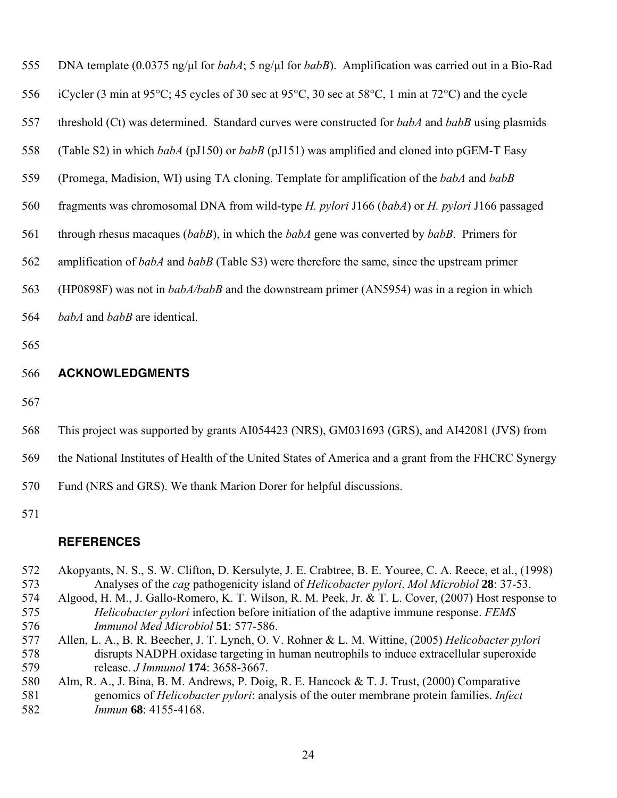| 555 | DNA template (0.0375 ng/µl for <i>babA</i> ; 5 ng/µl for <i>babB</i> ). Amplification was carried out in a Bio-Rad                        |
|-----|-------------------------------------------------------------------------------------------------------------------------------------------|
| 556 | iCycler (3 min at 95 $\degree$ C; 45 cycles of 30 sec at 95 $\degree$ C, 30 sec at 58 $\degree$ C, 1 min at 72 $\degree$ C) and the cycle |
| 557 | threshold (Ct) was determined. Standard curves were constructed for <i>babA</i> and <i>babB</i> using plasmids                            |
| 558 | (Table S2) in which babA (pJ150) or babB (pJ151) was amplified and cloned into pGEM-T Easy                                                |
| 559 | (Promega, Madision, WI) using TA cloning. Template for amplification of the babA and babB                                                 |
| 560 | fragments was chromosomal DNA from wild-type <i>H. pylori</i> J166 ( <i>babA</i> ) or <i>H. pylori</i> J166 passaged                      |
| 561 | through rhesus macaques (babB), in which the babA gene was converted by babB. Primers for                                                 |
| 562 | amplification of <i>babA</i> and <i>babB</i> (Table S3) were therefore the same, since the upstream primer                                |
| 563 | (HP0898F) was not in <i>babA/babB</i> and the downstream primer (AN5954) was in a region in which                                         |
|     |                                                                                                                                           |

- 564 *babA* and *babB* are identical.
- 565

# 566 **ACKNOWLEDGMENTS**

- 567
- 568 This project was supported by grants AI054423 (NRS), GM031693 (GRS), and AI42081 (JVS) from
- 569 the National Institutes of Health of the United States of America and a grant from the FHCRC Synergy
- 570 Fund (NRS and GRS). We thank Marion Dorer for helpful discussions.
- 571

# **REFERENCES**

- 572 Akopyants, N. S., S. W. Clifton, D. Kersulyte, J. E. Crabtree, B. E. Youree, C. A. Reece, et al., (1998) 573 Analyses of the *cag* pathogenicity island of *Helicobacter pylori*. *Mol Microbiol* **28**: 37-53.
- 574 Algood, H. M., J. Gallo-Romero, K. T. Wilson, R. M. Peek, Jr. & T. L. Cover, (2007) Host response to 575 *Helicobacter pylori* infection before initiation of the adaptive immune response. *FEMS*  576 *Immunol Med Microbiol* **51**: 577-586.
- 577 Allen, L. A., B. R. Beecher, J. T. Lynch, O. V. Rohner & L. M. Wittine, (2005) *Helicobacter pylori* 578 disrupts NADPH oxidase targeting in human neutrophils to induce extracellular superoxide 579 release. *J Immunol* **174**: 3658-3667.
- 580 Alm, R. A., J. Bina, B. M. Andrews, P. Doig, R. E. Hancock & T. J. Trust, (2000) Comparative 581 genomics of *Helicobacter pylori*: analysis of the outer membrane protein families. *Infect*  582 *Immun* **68**: 4155-4168.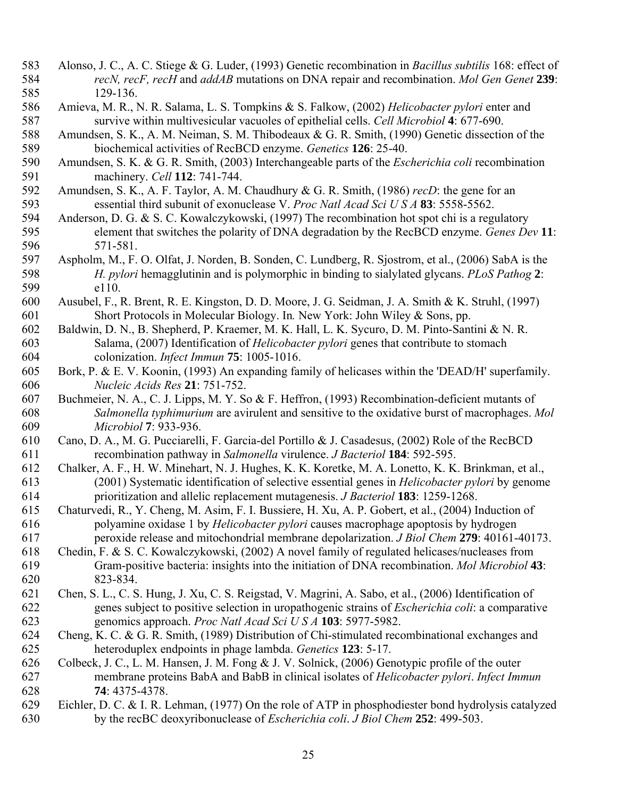- 583 Alonso, J. C., A. C. Stiege & G. Luder, (1993) Genetic recombination in *Bacillus subtilis* 168: effect of 584 *recN, recF, recH* and *addAB* mutations on DNA repair and recombination. *Mol Gen Genet* **239**: 585 129-136.
- 586 Amieva, M. R., N. R. Salama, L. S. Tompkins & S. Falkow, (2002) *Helicobacter pylori* enter and 587 survive within multivesicular vacuoles of epithelial cells. *Cell Microbiol* **4**: 677-690.
- 588 Amundsen, S. K., A. M. Neiman, S. M. Thibodeaux & G. R. Smith, (1990) Genetic dissection of the 589 biochemical activities of RecBCD enzyme. *Genetics* **126**: 25-40.
- 590 Amundsen, S. K. & G. R. Smith, (2003) Interchangeable parts of the *Escherichia coli* recombination 591 machinery. *Cell* **112**: 741-744.
- 592 Amundsen, S. K., A. F. Taylor, A. M. Chaudhury & G. R. Smith, (1986) *recD*: the gene for an 593 essential third subunit of exonuclease V. *Proc Natl Acad Sci U S A* **83**: 5558-5562.
- 594 Anderson, D. G. & S. C. Kowalczykowski, (1997) The recombination hot spot chi is a regulatory 595 element that switches the polarity of DNA degradation by the RecBCD enzyme. *Genes Dev* **11**: 596 571-581.
- 597 Aspholm, M., F. O. Olfat, J. Norden, B. Sonden, C. Lundberg, R. Sjostrom, et al., (2006) SabA is the 598 *H. pylori* hemagglutinin and is polymorphic in binding to sialylated glycans. *PLoS Pathog* **2**: 599 e110.
- 600 Ausubel, F., R. Brent, R. E. Kingston, D. D. Moore, J. G. Seidman, J. A. Smith & K. Struhl, (1997) 601 Short Protocols in Molecular Biology. In*.* New York: John Wiley & Sons, pp.
- 602 Baldwin, D. N., B. Shepherd, P. Kraemer, M. K. Hall, L. K. Sycuro, D. M. Pinto-Santini & N. R. 603 Salama, (2007) Identification of *Helicobacter pylori* genes that contribute to stomach 604 colonization. *Infect Immun* **75**: 1005-1016.
- 605 Bork, P. & E. V. Koonin, (1993) An expanding family of helicases within the 'DEAD/H' superfamily. 606 *Nucleic Acids Res* **21**: 751-752.
- 607 Buchmeier, N. A., C. J. Lipps, M. Y. So & F. Heffron, (1993) Recombination-deficient mutants of 608 *Salmonella typhimurium* are avirulent and sensitive to the oxidative burst of macrophages. *Mol*  609 *Microbiol* **7**: 933-936.
- 610 Cano, D. A., M. G. Pucciarelli, F. Garcia-del Portillo & J. Casadesus, (2002) Role of the RecBCD 611 recombination pathway in *Salmonella* virulence. *J Bacteriol* **184**: 592-595.
- 612 Chalker, A. F., H. W. Minehart, N. J. Hughes, K. K. Koretke, M. A. Lonetto, K. K. Brinkman, et al., 613 (2001) Systematic identification of selective essential genes in *Helicobacter pylori* by genome 614 prioritization and allelic replacement mutagenesis. *J Bacteriol* **183**: 1259-1268.
- 615 Chaturvedi, R., Y. Cheng, M. Asim, F. I. Bussiere, H. Xu, A. P. Gobert, et al., (2004) Induction of 616 polyamine oxidase 1 by *Helicobacter pylori* causes macrophage apoptosis by hydrogen 617 peroxide release and mitochondrial membrane depolarization. *J Biol Chem* **279**: 40161-40173.
- 618 Chedin, F. & S. C. Kowalczykowski, (2002) A novel family of regulated helicases/nucleases from 619 Gram-positive bacteria: insights into the initiation of DNA recombination. *Mol Microbiol* **43**: 620 823-834.
- 621 Chen, S. L., C. S. Hung, J. Xu, C. S. Reigstad, V. Magrini, A. Sabo, et al., (2006) Identification of 622 genes subject to positive selection in uropathogenic strains of *Escherichia coli*: a comparative 623 genomics approach. *Proc Natl Acad Sci U S A* **103**: 5977-5982.
- 624 Cheng, K. C. & G. R. Smith, (1989) Distribution of Chi-stimulated recombinational exchanges and 625 heteroduplex endpoints in phage lambda. *Genetics* **123**: 5-17.
- 626 Colbeck, J. C., L. M. Hansen, J. M. Fong & J. V. Solnick, (2006) Genotypic profile of the outer 627 membrane proteins BabA and BabB in clinical isolates of *Helicobacter pylori*. *Infect Immun* 628 **74**: 4375-4378.
- 629 Eichler, D. C. & I. R. Lehman, (1977) On the role of ATP in phosphodiester bond hydrolysis catalyzed 630 by the recBC deoxyribonuclease of *Escherichia coli*. *J Biol Chem* **252**: 499-503.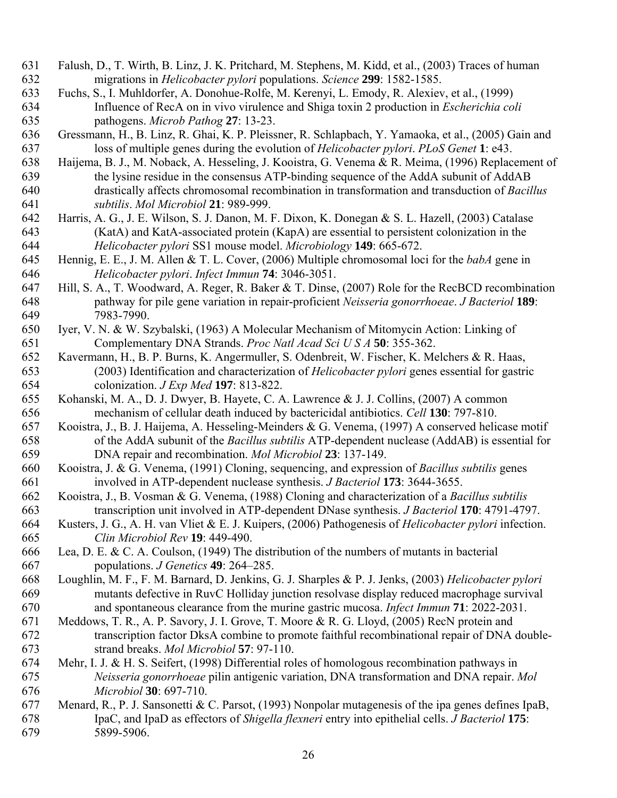- 631 Falush, D., T. Wirth, B. Linz, J. K. Pritchard, M. Stephens, M. Kidd, et al., (2003) Traces of human 632 migrations in *Helicobacter pylori* populations. *Science* **299**: 1582-1585.
- 633 Fuchs, S., I. Muhldorfer, A. Donohue-Rolfe, M. Kerenyi, L. Emody, R. Alexiev, et al., (1999) 634 Influence of RecA on in vivo virulence and Shiga toxin 2 production in *Escherichia coli* 635 pathogens. *Microb Pathog* **27**: 13-23.
- 636 Gressmann, H., B. Linz, R. Ghai, K. P. Pleissner, R. Schlapbach, Y. Yamaoka, et al., (2005) Gain and 637 loss of multiple genes during the evolution of *Helicobacter pylori*. *PLoS Genet* **1**: e43.
- 638 Haijema, B. J., M. Noback, A. Hesseling, J. Kooistra, G. Venema & R. Meima, (1996) Replacement of 639 the lysine residue in the consensus ATP-binding sequence of the AddA subunit of AddAB 640 drastically affects chromosomal recombination in transformation and transduction of *Bacillus*  641 *subtilis*. *Mol Microbiol* **21**: 989-999.
- 642 Harris, A. G., J. E. Wilson, S. J. Danon, M. F. Dixon, K. Donegan & S. L. Hazell, (2003) Catalase 643 (KatA) and KatA-associated protein (KapA) are essential to persistent colonization in the 644 *Helicobacter pylori* SS1 mouse model. *Microbiology* **149**: 665-672.
- 645 Hennig, E. E., J. M. Allen & T. L. Cover, (2006) Multiple chromosomal loci for the *babA* gene in 646 *Helicobacter pylori*. *Infect Immun* **74**: 3046-3051.
- 647 Hill, S. A., T. Woodward, A. Reger, R. Baker & T. Dinse, (2007) Role for the RecBCD recombination 648 pathway for pile gene variation in repair-proficient *Neisseria gonorrhoeae*. *J Bacteriol* **189**: 649 7983-7990.
- 650 Iyer, V. N. & W. Szybalski, (1963) A Molecular Mechanism of Mitomycin Action: Linking of 651 Complementary DNA Strands. *Proc Natl Acad Sci U S A* **50**: 355-362.
- 652 Kavermann, H., B. P. Burns, K. Angermuller, S. Odenbreit, W. Fischer, K. Melchers & R. Haas, 653 (2003) Identification and characterization of *Helicobacter pylori* genes essential for gastric 654 colonization. *J Exp Med* **197**: 813-822.
- 655 Kohanski, M. A., D. J. Dwyer, B. Hayete, C. A. Lawrence & J. J. Collins, (2007) A common 656 mechanism of cellular death induced by bactericidal antibiotics. *Cell* **130**: 797-810.
- 657 Kooistra, J., B. J. Haijema, A. Hesseling-Meinders & G. Venema, (1997) A conserved helicase motif 658 of the AddA subunit of the *Bacillus subtilis* ATP-dependent nuclease (AddAB) is essential for 659 DNA repair and recombination. *Mol Microbiol* **23**: 137-149.
- 660 Kooistra, J. & G. Venema, (1991) Cloning, sequencing, and expression of *Bacillus subtilis* genes 661 involved in ATP-dependent nuclease synthesis. *J Bacteriol* **173**: 3644-3655.
- 662 Kooistra, J., B. Vosman & G. Venema, (1988) Cloning and characterization of a *Bacillus subtilis* 663 transcription unit involved in ATP-dependent DNase synthesis. *J Bacteriol* **170**: 4791-4797.
- 664 Kusters, J. G., A. H. van Vliet & E. J. Kuipers, (2006) Pathogenesis of *Helicobacter pylori* infection. 665 *Clin Microbiol Rev* **19**: 449-490.
- 666 Lea, D. E. & C. A. Coulson, (1949) The distribution of the numbers of mutants in bacterial 667 populations. *J Genetics* **49**: 264–285.
- 668 Loughlin, M. F., F. M. Barnard, D. Jenkins, G. J. Sharples & P. J. Jenks, (2003) *Helicobacter pylori* 669 mutants defective in RuvC Holliday junction resolvase display reduced macrophage survival 670 and spontaneous clearance from the murine gastric mucosa. *Infect Immun* **71**: 2022-2031.
- 671 Meddows, T. R., A. P. Savory, J. I. Grove, T. Moore & R. G. Lloyd, (2005) RecN protein and 672 transcription factor DksA combine to promote faithful recombinational repair of DNA double-673 strand breaks. *Mol Microbiol* **57**: 97-110.
- 674 Mehr, I. J. & H. S. Seifert, (1998) Differential roles of homologous recombination pathways in 675 *Neisseria gonorrhoeae* pilin antigenic variation, DNA transformation and DNA repair. *Mol*  676 *Microbiol* **30**: 697-710.
- 677 Menard, R., P. J. Sansonetti & C. Parsot, (1993) Nonpolar mutagenesis of the ipa genes defines IpaB, 678 IpaC, and IpaD as effectors of *Shigella flexneri* entry into epithelial cells. *J Bacteriol* **175**: 679 5899-5906.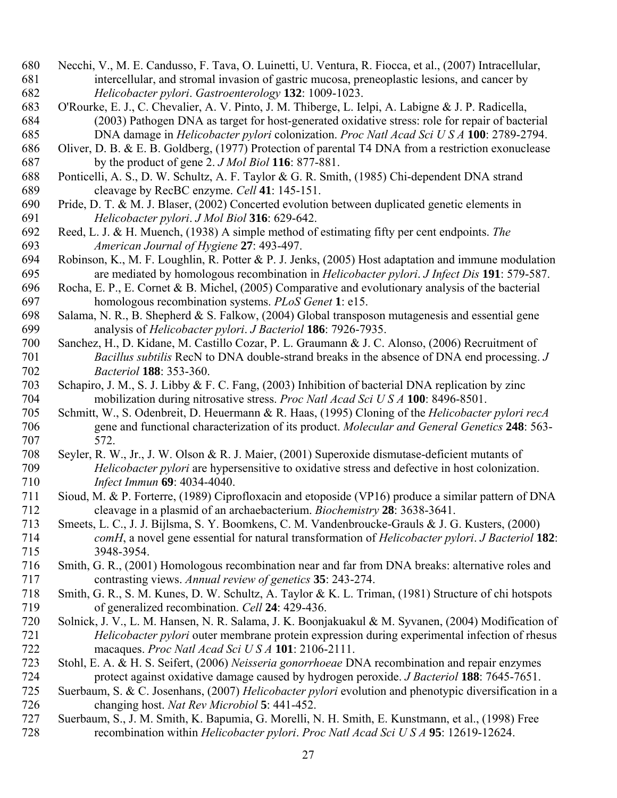- 680 Necchi, V., M. E. Candusso, F. Tava, O. Luinetti, U. Ventura, R. Fiocca, et al., (2007) Intracellular, 681 intercellular, and stromal invasion of gastric mucosa, preneoplastic lesions, and cancer by 682 *Helicobacter pylori*. *Gastroenterology* **132**: 1009-1023.
- 683 O'Rourke, E. J., C. Chevalier, A. V. Pinto, J. M. Thiberge, L. Ielpi, A. Labigne & J. P. Radicella, 684 (2003) Pathogen DNA as target for host-generated oxidative stress: role for repair of bacterial 685 DNA damage in *Helicobacter pylori* colonization. *Proc Natl Acad Sci U S A* **100**: 2789-2794.
- 686 Oliver, D. B. & E. B. Goldberg, (1977) Protection of parental T4 DNA from a restriction exonuclease 687 by the product of gene 2. *J Mol Biol* **116**: 877-881.
- 688 Ponticelli, A. S., D. W. Schultz, A. F. Taylor & G. R. Smith, (1985) Chi-dependent DNA strand 689 cleavage by RecBC enzyme. *Cell* **41**: 145-151.
- 690 Pride, D. T. & M. J. Blaser, (2002) Concerted evolution between duplicated genetic elements in 691 *Helicobacter pylori*. *J Mol Biol* **316**: 629-642.
- 692 Reed, L. J. & H. Muench, (1938) A simple method of estimating fifty per cent endpoints. *The*  693 *American Journal of Hygiene* **27**: 493-497.
- 694 Robinson, K., M. F. Loughlin, R. Potter & P. J. Jenks, (2005) Host adaptation and immune modulation 695 are mediated by homologous recombination in *Helicobacter pylori*. *J Infect Dis* **191**: 579-587.
- 696 Rocha, E. P., E. Cornet & B. Michel, (2005) Comparative and evolutionary analysis of the bacterial 697 homologous recombination systems. *PLoS Genet* **1**: e15.
- 698 Salama, N. R., B. Shepherd & S. Falkow, (2004) Global transposon mutagenesis and essential gene 699 analysis of *Helicobacter pylori*. *J Bacteriol* **186**: 7926-7935.
- 700 Sanchez, H., D. Kidane, M. Castillo Cozar, P. L. Graumann & J. C. Alonso, (2006) Recruitment of 701 *Bacillus subtilis* RecN to DNA double-strand breaks in the absence of DNA end processing. *J*  702 *Bacteriol* **188**: 353-360.
- 703 Schapiro, J. M., S. J. Libby & F. C. Fang, (2003) Inhibition of bacterial DNA replication by zinc 704 mobilization during nitrosative stress. *Proc Natl Acad Sci U S A* **100**: 8496-8501.
- 705 Schmitt, W., S. Odenbreit, D. Heuermann & R. Haas, (1995) Cloning of the *Helicobacter pylori recA*  706 gene and functional characterization of its product. *Molecular and General Genetics* **248**: 563- 707 572.
- 708 Seyler, R. W., Jr., J. W. Olson & R. J. Maier, (2001) Superoxide dismutase-deficient mutants of 709 *Helicobacter pylori* are hypersensitive to oxidative stress and defective in host colonization. 710 *Infect Immun* **69**: 4034-4040.
- 711 Sioud, M. & P. Forterre, (1989) Ciprofloxacin and etoposide (VP16) produce a similar pattern of DNA 712 cleavage in a plasmid of an archaebacterium. *Biochemistry* **28**: 3638-3641.
- 713 Smeets, L. C., J. J. Bijlsma, S. Y. Boomkens, C. M. Vandenbroucke-Grauls & J. G. Kusters, (2000) 714 *comH*, a novel gene essential for natural transformation of *Helicobacter pylori*. *J Bacteriol* **182**: 715 3948-3954.
- 716 Smith, G. R., (2001) Homologous recombination near and far from DNA breaks: alternative roles and 717 contrasting views. *Annual review of genetics* **35**: 243-274.
- 718 Smith, G. R., S. M. Kunes, D. W. Schultz, A. Taylor & K. L. Triman, (1981) Structure of chi hotspots 719 of generalized recombination. *Cell* **24**: 429-436.
- 720 Solnick, J. V., L. M. Hansen, N. R. Salama, J. K. Boonjakuakul & M. Syvanen, (2004) Modification of 721 *Helicobacter pylori* outer membrane protein expression during experimental infection of rhesus 722 macaques. *Proc Natl Acad Sci U S A* **101**: 2106-2111.
- 723 Stohl, E. A. & H. S. Seifert, (2006) *Neisseria gonorrhoeae* DNA recombination and repair enzymes 724 protect against oxidative damage caused by hydrogen peroxide. *J Bacteriol* **188**: 7645-7651.
- 725 Suerbaum, S. & C. Josenhans, (2007) *Helicobacter pylori* evolution and phenotypic diversification in a 726 changing host. *Nat Rev Microbiol* **5**: 441-452.
- 727 Suerbaum, S., J. M. Smith, K. Bapumia, G. Morelli, N. H. Smith, E. Kunstmann, et al., (1998) Free 728 recombination within *Helicobacter pylori*. *Proc Natl Acad Sci U S A* **95**: 12619-12624.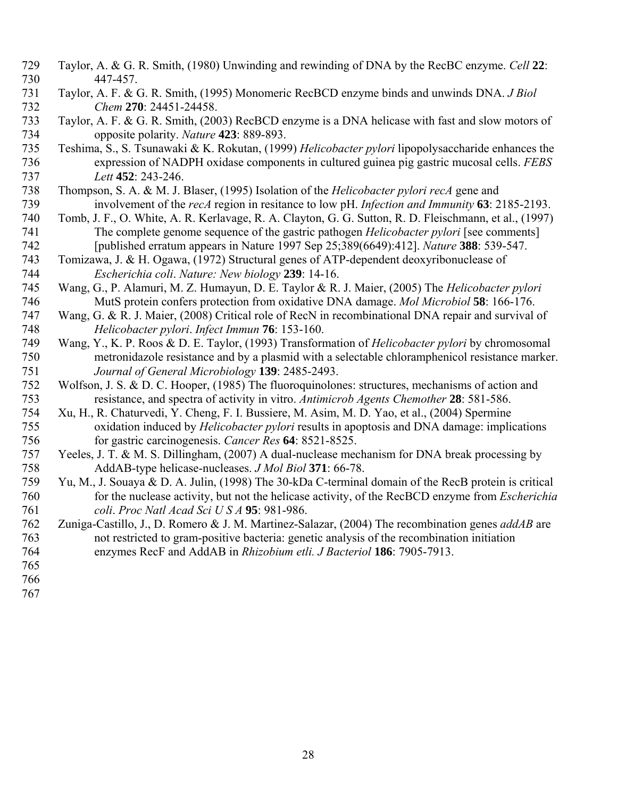- 729 Taylor, A. & G. R. Smith, (1980) Unwinding and rewinding of DNA by the RecBC enzyme. *Cell* **22**: 730 447-457.
- 731 Taylor, A. F. & G. R. Smith, (1995) Monomeric RecBCD enzyme binds and unwinds DNA. *J Biol*  732 *Chem* **270**: 24451-24458.
- 733 Taylor, A. F. & G. R. Smith, (2003) RecBCD enzyme is a DNA helicase with fast and slow motors of 734 opposite polarity. *Nature* **423**: 889-893.
- 735 Teshima, S., S. Tsunawaki & K. Rokutan, (1999) *Helicobacter pylori* lipopolysaccharide enhances the 736 expression of NADPH oxidase components in cultured guinea pig gastric mucosal cells. *FEBS*  737 *Lett* **452**: 243-246.
- 738 Thompson, S. A. & M. J. Blaser, (1995) Isolation of the *Helicobacter pylori recA* gene and 739 involvement of the *recA* region in resitance to low pH. *Infection and Immunity* **63**: 2185-2193.
- 740 Tomb, J. F., O. White, A. R. Kerlavage, R. A. Clayton, G. G. Sutton, R. D. Fleischmann, et al., (1997) 741 The complete genome sequence of the gastric pathogen *Helicobacter pylori* [see comments] 742 [published erratum appears in Nature 1997 Sep 25;389(6649):412]. *Nature* **388**: 539-547.
- 743 Tomizawa, J. & H. Ogawa, (1972) Structural genes of ATP-dependent deoxyribonuclease of 744 *Escherichia coli*. *Nature: New biology* **239**: 14-16.
- 745 Wang, G., P. Alamuri, M. Z. Humayun, D. E. Taylor & R. J. Maier, (2005) The *Helicobacter pylori* 746 MutS protein confers protection from oxidative DNA damage. *Mol Microbiol* **58**: 166-176.
- 747 Wang, G. & R. J. Maier, (2008) Critical role of RecN in recombinational DNA repair and survival of 748 *Helicobacter pylori*. *Infect Immun* **76**: 153-160.
- 749 Wang, Y., K. P. Roos & D. E. Taylor, (1993) Transformation of *Helicobacter pylori* by chromosomal 750 metronidazole resistance and by a plasmid with a selectable chloramphenicol resistance marker. 751 *Journal of General Microbiology* **139**: 2485-2493.
- 752 Wolfson, J. S. & D. C. Hooper, (1985) The fluoroquinolones: structures, mechanisms of action and 753 resistance, and spectra of activity in vitro. *Antimicrob Agents Chemother* **28**: 581-586.
- 754 Xu, H., R. Chaturvedi, Y. Cheng, F. I. Bussiere, M. Asim, M. D. Yao, et al., (2004) Spermine 755 oxidation induced by *Helicobacter pylori* results in apoptosis and DNA damage: implications 756 for gastric carcinogenesis. *Cancer Res* **64**: 8521-8525.
- 757 Yeeles, J. T. & M. S. Dillingham, (2007) A dual-nuclease mechanism for DNA break processing by 758 AddAB-type helicase-nucleases. *J Mol Biol* **371**: 66-78.
- 759 Yu, M., J. Souaya & D. A. Julin, (1998) The 30-kDa C-terminal domain of the RecB protein is critical 760 for the nuclease activity, but not the helicase activity, of the RecBCD enzyme from *Escherichia*  761 *coli*. *Proc Natl Acad Sci U S A* **95**: 981-986.
- 762 Zuniga-Castillo, J., D. Romero & J. M. Martinez-Salazar, (2004) The recombination genes *addAB* are 763 not restricted to gram-positive bacteria: genetic analysis of the recombination initiation 764 enzymes RecF and AddAB in *Rhizobium etli. J Bacteriol* **186**: 7905-7913.
- 765
- 766
- 767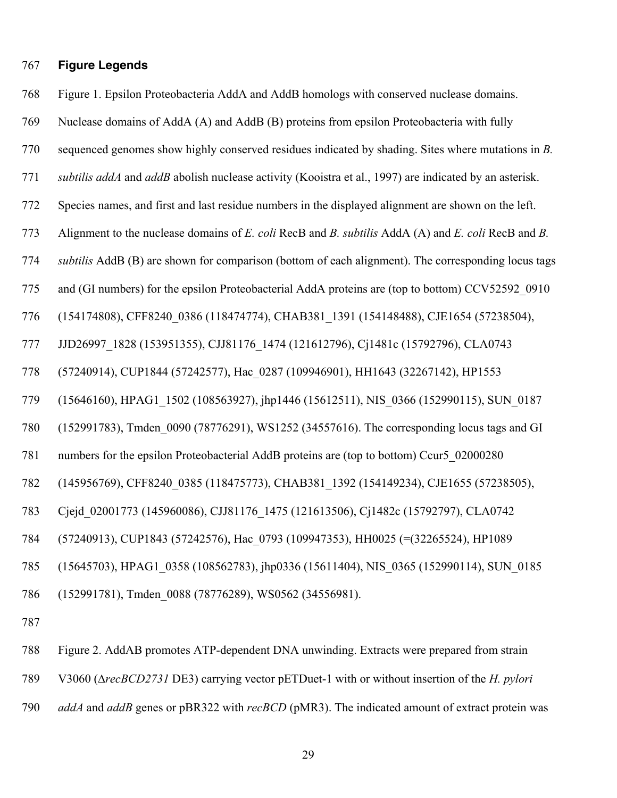### 767 **Figure Legends**

768 Figure 1. Epsilon Proteobacteria AddA and AddB homologs with conserved nuclease domains.

- 769 Nuclease domains of AddA (A) and AddB (B) proteins from epsilon Proteobacteria with fully
- 770 sequenced genomes show highly conserved residues indicated by shading. Sites where mutations in *B.*
- 771 *subtilis addA* and *addB* abolish nuclease activity (Kooistra et al., 1997) are indicated by an asterisk.
- 772 Species names, and first and last residue numbers in the displayed alignment are shown on the left.
- 773 Alignment to the nuclease domains of *E. coli* RecB and *B. subtilis* AddA (A) and *E. coli* RecB and *B.*
- 774 *subtilis* AddB (B) are shown for comparison (bottom of each alignment). The corresponding locus tags
- 775 and (GI numbers) for the epsilon Proteobacterial AddA proteins are (top to bottom) CCV52592\_0910
- 776 (154174808), CFF8240\_0386 (118474774), CHAB381\_1391 (154148488), CJE1654 (57238504),
- 777 JJD26997\_1828 (153951355), CJJ81176\_1474 (121612796), Cj1481c (15792796), CLA0743
- 778 (57240914), CUP1844 (57242577), Hac\_0287 (109946901), HH1643 (32267142), HP1553
- 779 (15646160), HPAG1\_1502 (108563927), jhp1446 (15612511), NIS\_0366 (152990115), SUN\_0187
- 780 (152991783), Tmden\_0090 (78776291), WS1252 (34557616). The corresponding locus tags and GI
- 781 numbers for the epsilon Proteobacterial AddB proteins are (top to bottom) Ccur5\_02000280
- 782 (145956769), CFF8240\_0385 (118475773), CHAB381\_1392 (154149234), CJE1655 (57238505),
- 783 Cjejd\_02001773 (145960086), CJJ81176\_1475 (121613506), Cj1482c (15792797), CLA0742
- 784 (57240913), CUP1843 (57242576), Hac\_0793 (109947353), HH0025 (=(32265524), HP1089
- 785 (15645703), HPAG1\_0358 (108562783), jhp0336 (15611404), NIS\_0365 (152990114), SUN\_0185
- 786 (152991781), Tmden\_0088 (78776289), WS0562 (34556981).
- 787
- 788 Figure 2. AddAB promotes ATP-dependent DNA unwinding. Extracts were prepared from strain
- 789 V3060 (Δ*recBCD2731* DE3) carrying vector pETDuet-1 with or without insertion of the *H. pylori*
- 790 *addA* and *addB* genes or pBR322 with *recBCD* (pMR3). The indicated amount of extract protein was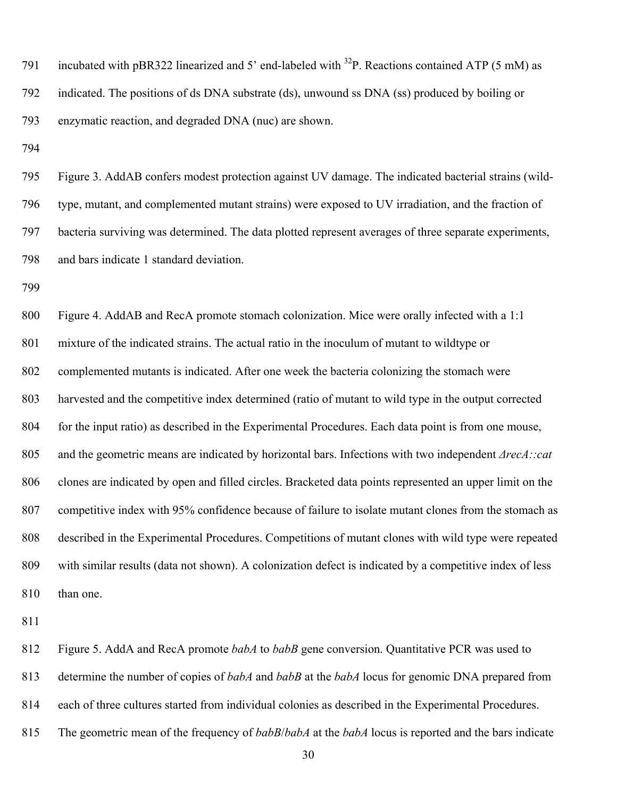791 incubated with pBR322 linearized and 5' end-labeled with  $^{32}P$ . Reactions contained ATP (5 mM) as 792 indicated. The positions of ds DNA substrate (ds), unwound ss DNA (ss) produced by boiling or 793 enzymatic reaction, and degraded DNA (nuc) are shown.

794

795 Figure 3. AddAB confers modest protection against UV damage. The indicated bacterial strains (wild-796 type, mutant, and complemented mutant strains) were exposed to UV irradiation, and the fraction of 797 bacteria surviving was determined. The data plotted represent averages of three separate experiments, 798 and bars indicate 1 standard deviation.

799

800 Figure 4. AddAB and RecA promote stomach colonization. Mice were orally infected with a 1:1 801 mixture of the indicated strains. The actual ratio in the inoculum of mutant to wildtype or 802 complemented mutants is indicated. After one week the bacteria colonizing the stomach were 803 harvested and the competitive index determined (ratio of mutant to wild type in the output corrected 804 for the input ratio) as described in the Experimental Procedures. Each data point is from one mouse, 805 and the geometric means are indicated by horizontal bars. Infections with two independent *ΔrecA::cat* 806 clones are indicated by open and filled circles. Bracketed data points represented an upper limit on the 807 competitive index with 95% confidence because of failure to isolate mutant clones from the stomach as 808 described in the Experimental Procedures. Competitions of mutant clones with wild type were repeated 809 with similar results (data not shown). A colonization defect is indicated by a competitive index of less 810 than one.

811

812 Figure 5. AddA and RecA promote *babA* to *babB* gene conversion. Quantitative PCR was used to

813 determine the number of copies of *babA* and *babB* at the *babA* locus for genomic DNA prepared from

814 each of three cultures started from individual colonies as described in the Experimental Procedures.

815 The geometric mean of the frequency of *babB*/*babA* at the *babA* locus is reported and the bars indicate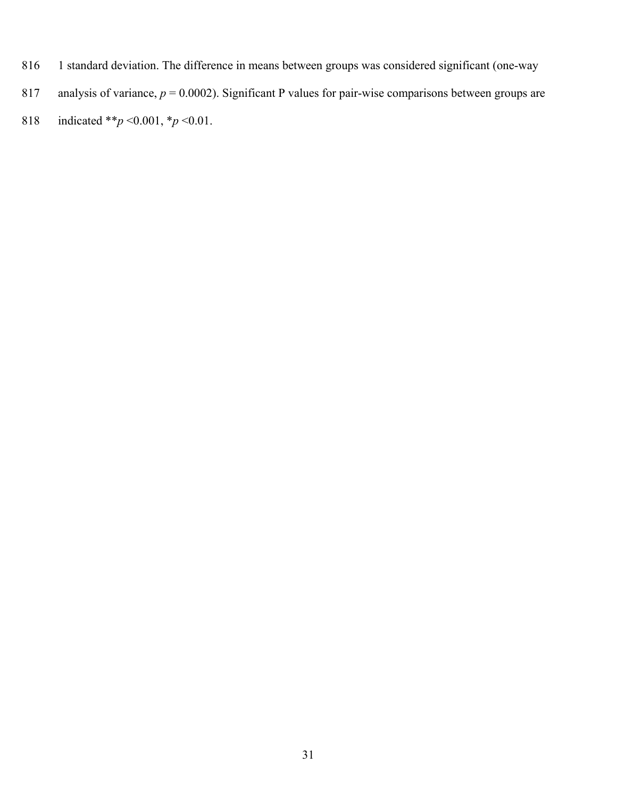- 816 1 standard deviation. The difference in means between groups was considered significant (one-way
- 817 analysis of variance,  $p = 0.0002$ ). Significant P values for pair-wise comparisons between groups are
- 818 indicated \*\**p* <0.001, \**p* <0.01.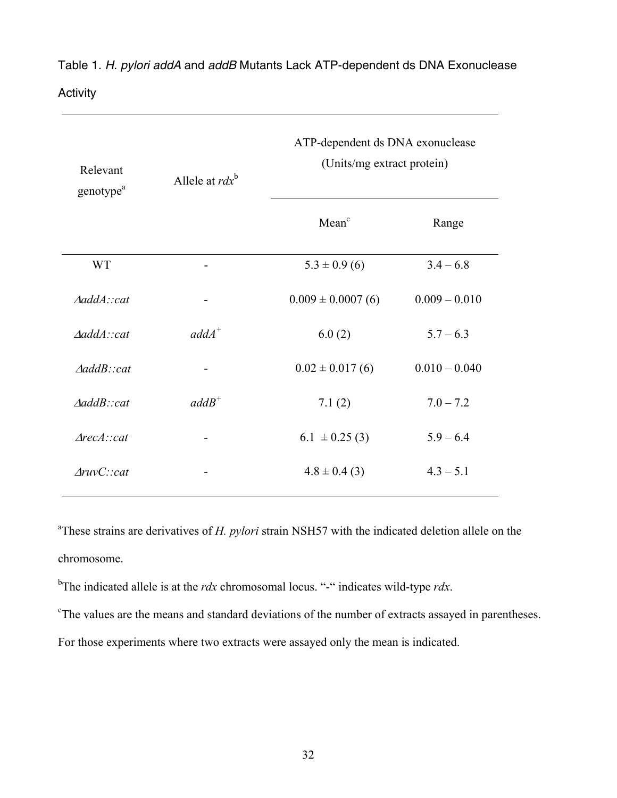| Relevant<br>genotype <sup>a</sup> | Allele at $r dx^b$ | ATP-dependent ds DNA exonuclease<br>(Units/mg extract protein) |                 |  |  |
|-----------------------------------|--------------------|----------------------------------------------------------------|-----------------|--|--|
|                                   |                    | Mean <sup>c</sup>                                              | Range           |  |  |
| <b>WT</b>                         |                    | $5.3 \pm 0.9$ (6)                                              | $3.4 - 6.8$     |  |  |
| $\Delta$ add $\Delta$ ::cat       |                    | $0.009 \pm 0.0007(6)$                                          | $0.009 - 0.010$ |  |  |
| AaddA::cat                        | $addA^+$           | 6.0(2)                                                         | $5.7 - 6.3$     |  |  |
| $\Delta addB::cat$                |                    | $0.02 \pm 0.017(6)$                                            | $0.010 - 0.040$ |  |  |
| AaddB::cat                        | $addB^+$           | 7.1(2)                                                         | $7.0 - 7.2$     |  |  |
| Area::cat                         |                    | $6.1 \pm 0.25$ (3)                                             | $5.9 - 6.4$     |  |  |
| $\Delta ruvC$ : cat               |                    | $4.8 \pm 0.4$ (3)                                              | $4.3 - 5.1$     |  |  |
|                                   |                    |                                                                |                 |  |  |

Table 1. *H. pylori addA* and *addB* Mutants Lack ATP-dependent ds DNA Exonuclease Activity

<sup>a</sup>These strains are derivatives of *H. pylori* strain NSH57 with the indicated deletion allele on the chromosome.

<sup>b</sup>The indicated allele is at the *rdx* chromosomal locus. "-" indicates wild-type *rdx*.

<sup>c</sup>The values are the means and standard deviations of the number of extracts assayed in parentheses.

For those experiments where two extracts were assayed only the mean is indicated.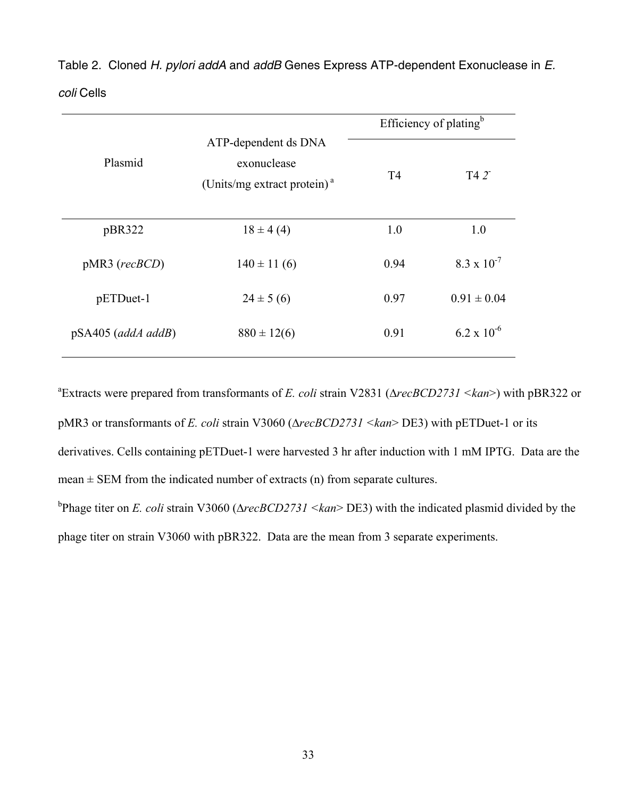|                     |                                                                                | Efficiency of plating <sup>b</sup> |                      |
|---------------------|--------------------------------------------------------------------------------|------------------------------------|----------------------|
| Plasmid             | ATP-dependent ds DNA<br>exonuclease<br>(Units/mg extract protein) <sup>a</sup> | T <sub>4</sub>                     | T42                  |
| pBR322              | $18 \pm 4(4)$                                                                  | 1.0                                | 1.0                  |
| $pMR3$ ( $recBCD$ ) | $140 \pm 11(6)$                                                                | 0.94                               | $8.3 \times 10^{-7}$ |
| pETDuet-1           | $24 \pm 5(6)$                                                                  | 0.97                               | $0.91 \pm 0.04$      |
| pSA405 (addA addB)  | $880 \pm 12(6)$                                                                | 0.91                               | $6.2 \times 10^{-6}$ |

Table 2. Cloned *H. pylori addA* and *addB* Genes Express ATP-dependent Exonuclease in *E. coli* Cells

a Extracts were prepared from transformants of *E. coli* strain V2831 (Δ*recBCD2731 <kan*>) with pBR322 or pMR3 or transformants of *E. coli* strain V3060 (Δ*recBCD2731 <kan*> DE3) with pETDuet-1 or its derivatives. Cells containing pETDuet-1 were harvested 3 hr after induction with 1 mM IPTG. Data are the mean  $\pm$  SEM from the indicated number of extracts (n) from separate cultures.

b Phage titer on *E. coli* strain V3060 (Δ*recBCD2731 <kan*> DE3) with the indicated plasmid divided by the phage titer on strain V3060 with pBR322. Data are the mean from 3 separate experiments.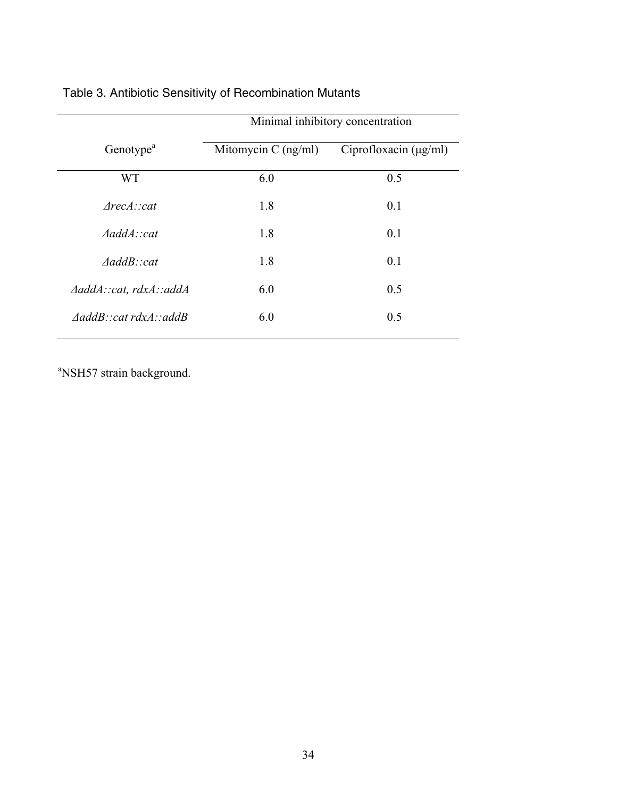|                                | Minimal inhibitory concentration |                            |  |  |
|--------------------------------|----------------------------------|----------------------------|--|--|
| Genotype <sup>a</sup>          | Mitomycin C $(ng/ml)$            | Ciprofloxacin $(\mu g/ml)$ |  |  |
| <b>WT</b>                      | 6.0                              | 0.5                        |  |  |
| Area::cat                      | 1.8                              | 0.1                        |  |  |
| AaddA::cat                     | 1.8                              | 0.1                        |  |  |
| $\Delta$ addB::cat             | 1.8                              | 0.1                        |  |  |
| $\Delta addA::cat, rdxA::addA$ | 6.0                              | 0.5                        |  |  |
| AaddB::cat rdxA::addB          | 6.0                              | 0.5                        |  |  |

# Table 3. Antibiotic Sensitivity of Recombination Mutants

<sup>a</sup>NSH57 strain background.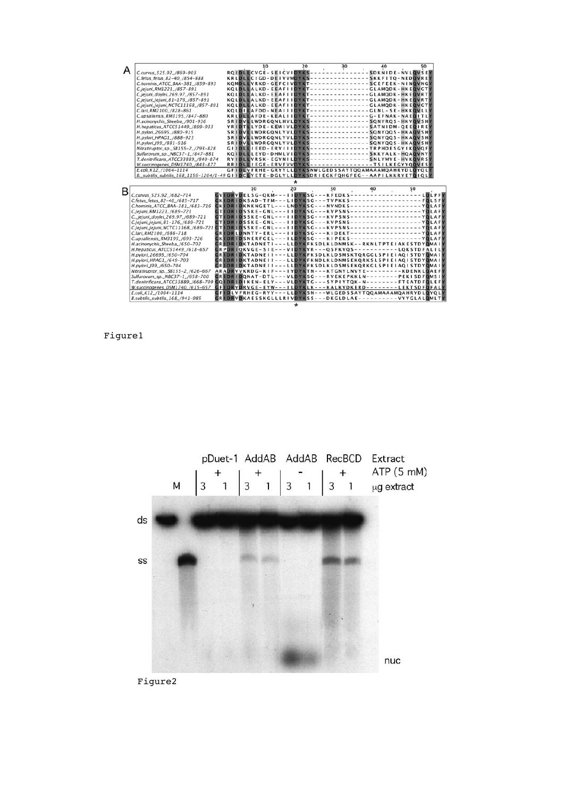|   |                                                                                                                         | 10                                                               | 20 | 30                                                                        | 40 | 50                                                        |
|---|-------------------------------------------------------------------------------------------------------------------------|------------------------------------------------------------------|----|---------------------------------------------------------------------------|----|-----------------------------------------------------------|
| А | C.curvus_525.92_/869-903                                                                                                |                                                                  |    | ROIDLECVGE - SEI CVIDYKS - - - - - - - - - - - - - - - SDKNIDE - NVLOVSEY |    |                                                           |
|   | C.fetus_fetus_82-40_/854-888                                                                                            |                                                                  |    | KRLDLLCIGD-DEIVVMDYKS--------------SKKFITQ-NEDQVREY                       |    |                                                           |
|   | C.hominis_ATCC_BAA-381_/859-893                                                                                         |                                                                  |    | KOMDLLVRKD-GEFCIVDYKT--------------SCEFEEK-NINOVNG                        |    |                                                           |
|   |                                                                                                                         |                                                                  |    | KOLDLLALKD-EEAFIIDYKT--------------GLAMODK-HKEOVGT                        |    |                                                           |
|   | C.jejuni_RM1221_/857-891                                                                                                |                                                                  |    |                                                                           |    |                                                           |
|   | C.jejuni_doylei_269.97_/857-891                                                                                         |                                                                  |    | KOLDLLALKD-EEAFIIDYKT--------------GLAMODK-HKEOVRT                        |    |                                                           |
|   | C.jejuni_jejuni_81-176_/857-891                                                                                         |                                                                  |    | KOLDLLALKD-EEAFIIDYKT--------------GLAMODK-HKEOVRT                        |    |                                                           |
|   | C.jejuni_jejuni_NCTC11168_/857-891                                                                                      |                                                                  |    | KOLDLLALKD-EEAFIIDYKT--------------GLAMQDK-HKEOVGT                        |    |                                                           |
|   | C.lari_RM2100_/828-861                                                                                                  |                                                                  |    | KOLDILAFDD-NEAIIIDYKT--------------GLNL-SE-HKKOVLLI                       |    |                                                           |
|   | C.upsaliensis_RM3195_/847-880                                                                                           |                                                                  |    | KRLDLLAFDE-KEALIIDYKT--------------G-EFNAK-NAEOITLI                       |    |                                                           |
|   | H.acinonychis_Sheeba_/901-936                                                                                           |                                                                  |    | SRIDVELWDRGONLHVLDYKS--------------SONYROS-HKVOVSHY                       |    |                                                           |
|   | H.hepaticus_ATCC51449_/899-933                                                                                          |                                                                  |    | YRIDTELYDE-KEWIVLDYKS--------------SATNIDM-OEEOIREN                       |    |                                                           |
|   | H.pylori_26695_/880-915                                                                                                 |                                                                  |    | SRIDVELWDRGQNLYVLDYKS---------------SQNYQQS-HKAQVSHY                      |    |                                                           |
|   |                                                                                                                         |                                                                  |    | SRIDVLLWDRGONLYVLDYKS---------------SONYQOS-HKAOVSHY                      |    |                                                           |
|   | H.pylori_HPAG1_/888-923                                                                                                 |                                                                  |    |                                                                           |    |                                                           |
|   | H.pvlori_199_/881-916                                                                                                   |                                                                  |    | SRIDVELWDRGONLYVLDYKS--------------SONYOOS-HKAOVSHY                       |    |                                                           |
|   | Nitratiruptor_sp._SB155-2_/793-828                                                                                      |                                                                  |    | GIIDLLIEED-ERYIIIDYKS--------------TRPHDESGYIKOVOFI                       |    |                                                           |
|   | Sulfurovum_sp._NBC37-1_/847-881                                                                                         |                                                                  |    | KOIDLLLEYD-DHMLVIDYKS---------------SKKYALK-HQAQVNYI                      |    |                                                           |
|   | T.denitrificans_ATCC33889_/840-874                                                                                      |                                                                  |    | RYIDLLVRSK-EGYNILDYKS---------------SNLYMYE-HVKOVRSI                      |    |                                                           |
|   | W.succinogenes_DSM1740_/843-877                                                                                         |                                                                  |    | RRIDLEIEGE-ERVFVVDYKS---------------TSILKEGYYOOVESY                       |    |                                                           |
|   | E.coli_K12_/1064-1114                                                                                                   |                                                                  |    | GFIDLVFRHE-GRYYLLDYKSNWLGEDSSAYTOQAMAAAMQAHRYDLOYQLI                      |    |                                                           |
|   | B._subtilis_subtilis_168_1156-1204/1-49 GI   DCLYETE-DGLYLLDYKSDRIEGKFQHGFEG--AAPILKKRYETQIQL                           |                                                                  |    |                                                                           |    |                                                           |
|   |                                                                                                                         |                                                                  |    |                                                                           |    |                                                           |
|   |                                                                                                                         |                                                                  |    |                                                                           |    |                                                           |
| в |                                                                                                                         | 10                                                               | 20 | 30                                                                        | 40 | 50                                                        |
|   | C.curvus_525.92_/682-714                                                                                                |                                                                  |    | $DRVDELSG-QKM--IIDYKSG---KFEDKS------$                                    |    | ------LOLPFN                                              |
|   | C.fetus_fetus_82-40_/685-717                                                                                            | GKIDRIDKSAD-TFM---LIDYKSG---TVPKKS-----------------FOLSF         |    |                                                                           |    |                                                           |
|   | C.hominis_ATCC_BAA-381_/683-716                                                                                         | GKIDRIDKNKNGETL---LNDYKSG---NVNDKS-----------------YOLAF         |    |                                                                           |    |                                                           |
|   | C.jejuni_RM1221_/689-721                                                                                                | GTIDRIDSSKE-GNL---IIDYKSG---KVPSNS-----------------YQLAF         |    |                                                                           |    |                                                           |
|   |                                                                                                                         | GTIDRIDSSKE-GNL---IIDYKSG---KVPSNS-----------------YOLAF         |    |                                                                           |    |                                                           |
|   | C._jejuni_dovlei_269.97_/689-721                                                                                        |                                                                  |    |                                                                           |    |                                                           |
|   | C.jejuni_jejuni_81-176_/689-721                                                                                         |                                                                  |    |                                                                           |    |                                                           |
|   |                                                                                                                         |                                                                  |    |                                                                           |    | GTIDRIDSSKE-GNL---IIDYKSG---KVPSNS-----------------YOLAFI |
|   | C.jejuni_jejuni_NCTC11168_/689-721 GTIDRIDSSKE - GNL - - - IIDYKSG - - - KVPSNS - - - - - - - - - - - - - - - - - YOLAF |                                                                  |    |                                                                           |    |                                                           |
|   | C.lari_RM2100_/686-718                                                                                                  | GRIDRLDNNTY-ERL---IIDYKSG---KIDEKT----------------YQLAF          |    |                                                                           |    |                                                           |
|   | C.upsaliensis_RM3195_/693-726                                                                                           | GKIDRIDSNERFGEL---ILDYKSG---KIPEKS--------------                 |    |                                                                           |    | YOLAFI                                                    |
|   | H.acinonychis_Sheeba_/650-702                                                                                           | GRIDRIDKTADNETI - - - LLDYKFKSDLKLDNMSK - - RKNLTPTEIAKESTDYOMAI |    |                                                                           |    |                                                           |
|   |                                                                                                                         |                                                                  |    |                                                                           |    |                                                           |
|   | H.hepaticus_ATCC51449_/618-657                                                                                          | GRPDRIQKVGE-SIE---VIDYKYR---QSFKVQS----------LQKSTDFALIL         |    |                                                                           |    |                                                           |
|   | H.pylori_26695_/650-704                                                                                                 | GRIDRIDKTADNEII - - - LLDYKFKSDLKLDSMSKTQRGGLSPIEIAQISTDYOMAII   |    |                                                                           |    |                                                           |
|   | H.pylori_HPAG1_/649-703                                                                                                 | GRIDRIDKTADNEII---LLDYKFKNDLKLDNMSEKQRKSLSPIEIAQISTDYQMAI        |    |                                                                           |    |                                                           |
|   | H.pylori_J99_/650-704                                                                                                   | GRIDRIDKTADNEII - - - LLDYKFKSDLKLDSMSEKORKGLSPIEIAOISTDYDMAII   |    |                                                                           |    |                                                           |
|   | Nitratiruptor_sp._SB155-2_/626-667                                                                                      | ARADRVVKRDG-KIF---IYDYKTN---KTGNYLNVYE--------KDENKLOAEFI        |    |                                                                           |    |                                                           |
|   | Sulfurovum_sp._NBC37-1_/658-700                                                                                         | GRIDRIDONAT-DTL---VLDYKSG---RVEKEPKKLN--------PEKISDFOMSI        |    |                                                                           |    |                                                           |
|   | T.denitrificans_ATCC33889_/668-709 COIDRIDIKEN-ELY---VLDYKTG---SYPIYTOK-N-------FTEATDFOLEFI                            |                                                                  |    |                                                                           |    |                                                           |
|   | W.succinogenes_DSM1740_/615-657 GFIDRVDRVGE-EYW---ILDYKLK---KALKVDKERD--------LEKTSDFOFALI                              |                                                                  |    |                                                                           |    |                                                           |
|   | E.coli K12 /1064-1114                                                                                                   |                                                                  |    |                                                                           |    |                                                           |
|   |                                                                                                                         | GFIDLVFRHEG-RYY---LLDYKSN---WLGEDSSAYTQQAMAAAMQAHRYDLQYQL        |    |                                                                           |    |                                                           |
|   | B. subtilis_subtilis_168_/941-985                                                                                       | GRIDRVDKAESSKGLLLRIVDYKSS---DKGLDLAE---------VYYGLALOMLTI        |    |                                                                           |    |                                                           |

Figure1



Figure2